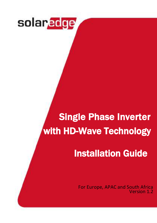

# Single Phase Inverter with HD-Wave Technology

# Installation Guide

For Europe, APAC and South Africa Version 1.2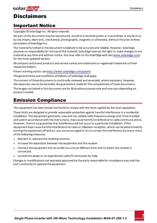### <span id="page-1-1"></span><span id="page-1-0"></span>**Disclaimers**

### Important Notice

Copyright © SolarEdge Inc. All rights reserved.

No part of this document may be reproduced, stored in a retrieval system or transmitted, in any form or by any means, electronic, mechanical, photographic, magnetic or otherwise, without the prior written permission of SolarEdge Inc.

The material furnished in this document is believed to be accurate and reliable. However, SolarEdge assumes no responsibility for the use of this material. SolarEdge reserves the right to make changes to the material at any time and without notice. You may refer to the SolarEdge web site ([www.solaredge.com\)](http://www.solaredge.com/) for the most updated version.

All company and brand products and service names are trademarks or registered trademarks of their respective holders.

Patent marking notice: see<http://www.solaredge.com/patent>

The general terms and conditions of delivery of SolarEdge shall apply.

The content of these documents is continually reviewed and amended, where necessary. However, discrepancies cannot be excluded. No guarantee is made for the completeness of these documents.

The images contained in this document are for illustrative purposes only and may vary depending on product models.

### Emission Compliance

This equipment has been tested and found to comply with the limits applied by the local regulations.

These limits are designed to provide reasonable protection against harmful interference in a residential installation. This equipment generates, uses and can radiate radio frequency energy and, if not installed and used in accordance with the instructions, may cause harmful interference to radio communications. However, there is no guarantee that interference will not occur in a particular installation. If this equipment does cause harmful interference to radio or television reception, which can be determined by turning the equipment off and on, you are encouraged to try to correct the interference by one or more of the following measures:

- Reorient or relocate the receiving antenna.
- <sup>l</sup> Increase the separation between the equipment and the receiver.
- <sup>l</sup> Connect the equipment into an outlet on a circuit different from that to which the receiver is connected.
- Consult the dealer or an experienced radio/TV technician for help.

Changes or modifications not expressly approved by the party responsible for compliance may void the user's authority to operate the equipment.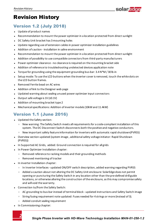

### <span id="page-2-1"></span><span id="page-2-0"></span>Revision History

### Version 1.2 (July 2018)

- Update of product names
- <sup>l</sup> Recommendation to mount the power optimizer in a location protected from direct sunlight
- <sup>l</sup> DC Safety Unit bracket has 3 mounting holes
- <sup>l</sup> Update regarding use of extension cables in power optimizer installation guidelines
- Addition of caution installation in saline environment
- <sup>l</sup> Recommendation to mount the power optimizer in a location protected from direct sunlight
- Addition of possibility to use compatible connectors from third-party manufacturers
- <sup>l</sup> Power optimizer clearance no clearance is required on the mounting bracket side
- <sup>l</sup> Addition of reference to troubleshooting undetected devices application note
- <sup>l</sup> Torque for grounding using the equipment grounding bus-bar: 3.4 N\*M / 30 lb-in
- <sup>l</sup> Setup mode: To use the LCD buttons when the inverter cover is removed, touch the white dots on the LCD button frames.
- Removed Ferrite bead on AC wires
- Addition of link to the Designer web page
- Updated warning about sealing unused power optimizer input connectors
- Output safe voltage is 1V (±0.1V)
- Addition of mounting bracket type 2
- <span id="page-2-2"></span><sup>l</sup> Mechanical specifications: Addition of inverter models (10kW and 11.4kW)

### Version 1.1 (June 2016)

- Updated the Safety section:
	- o New warning: The Safety Switch meets all requirements for a code-compliant installation of this system. The DC Disconnect Switch disconnects both the positive and negative conductors.
	- o New important safety feature information for inverters with automatic rapid shutdown(PVRSS)
- Overview section updated (system image, additional safety voltage initiator: Rapid Shutdown (PVRSS))
- In Supported AC Grids, added: Ground connection is required for all grids
- In Power Optimizer Installation chapter:
	- o Removed reference to racking models and their grounding methods
	- o Removed mentioning of tracker
- In inverter Installation chapter:
	- o In Inverter Interfaces updated ON/OFF switch description, added warning regarding PVRSS
	- o Added a caution about not altering the DC Safety Unit enclosure: SolarEdge does not permit opening or puncturing the Safety Switch in any location other than the pre-defined drill guide locations, or otherwise altering the construction of the enclosure, as this may compromise safety and will void the warranty.
- Connection to/from the Safety Switch:
	- $\circ$  AC grounding to bus-bar instead of terminal block updated instructions and Safety Switch image
	- o String fusing requirement note updated: Fuses needed for 4 strings or more (instead of 3).
	- o Added conduit sealing requirement
- In Commissioning chapter:

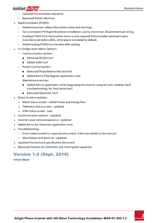### solar.adge

- o Updated the activation sequence
- o Removed RS232 reference
- Rapid shutdown (PVRSS):
	- o Added important safety information notes and warnings
	- o For a compliant PV Rapid Shutdown installation, use no more than 30 optimizers per string.
	- $\circ$  Enabling PVRSS from the inverter menu is only required if the installed optimizers were manufactured before 2015, otherwise it is enabled by default.
	- o Added testing PVRSS functionality after pairing
- In Configuration Menu Options:
	- o Communication section:
		- Removed RS232 Conf
		- Added GSM Conf
	- o Power Control section:
		- Removed Phase Balance link and info
		- $\blacksquare$  Added link to P(Q) diagram application note
	- o Maintenance section:
		- n Added links to application notes (Upgrading the inverter using SD card; Isolation fault troubleshooting; Arc fault detection)
		- Removed Optimizer Conf
- **.** Status Screens updates:
	- Meter status screen added Power and Energy lines
	- Telemetry status screen updated
	- **.** GSM status screen new
- <sup>l</sup> Communication options updated
- Inverter cover removal sequence updated
- Added link to Arc Detection application note
- Troubleshooting:
	- o Error codes moved to a separate document. A link was added to the manual.
	- o Slave Detect and Slave List updated
- <sup>l</sup> Updated the technical specification document
- <span id="page-3-0"></span>Removed Inverter Arc Detection and Interruption appendix

### Version 1.0 (Sept. 2016)

Initial release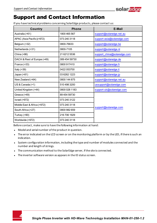

### <span id="page-4-0"></span>Support and Contact Information

If you have technical problems concerning SolarEdge products, please contact us:

| Country                     | <b>Phone</b>  | E-Mail                      |
|-----------------------------|---------------|-----------------------------|
| Australia (+61)             | 1800 465 567  | support@solaredge.net.au    |
| APAC (Asia Pacific)(+972)   | 073 240 3118  | support-asia@solaredge.com  |
| Belgium (+32)               | 0800-76633    | support@solaredge.be        |
| Netherlands (+31)           | 0800-7105     | support@solaredge.nl        |
| China (+86)                 | 21 6212 5536  | support_china@solaredge.com |
| DACH & Rest of Europe (+49) | 089 454 59730 | support@solaredge.de        |
| France $(+33)$              | 0800 917410   | support@solaredge.fr        |
| Italy $(+39)$               | 0422 053700   | support@solaredge.it        |
| Japan (+81)                 | 03 6262 1223  | support@solaredge.jp        |
| New Zealand (+64)           | 0800 144 875  | support@solaredge.net.au    |
| $US & Canada (+1)$          | 510 498 3200  | ussupport@solaredge.com     |
| United Kingdom (+44)        | 0800 028 1183 | support-uk@solaredge.com    |
| Greece (+49)                | 89 454 59730  |                             |
| Israel $(+972)$             | 073 240 3122  |                             |
| Middle East & Africa (+972) | 073 240 3118  |                             |
| South Africa (+27)          | 0800 982 659  | support@solaredge.com       |
| Turkey (+90)                | 216 706 1929  |                             |
| Worldwide (+972)            | 073 240 3118  |                             |

Before contact, make sure to have the following information at hand:

- Model and serial number of the product in question.
- The error indicated on the LCD screen or on the monitoring platform or by the LED, if there is such an indication.
- System configuration information, including the type and number of modules connected and the number and length of strings.
- The communication method to the SolarEdge server, if the site is connected.
- The inverter software version as appears in the ID status screen.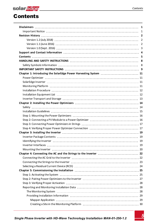<span id="page-5-0"></span>

### **Contents**

|                                                                  | $\mathbf{1}$   |
|------------------------------------------------------------------|----------------|
|                                                                  |                |
|                                                                  |                |
|                                                                  | $\overline{2}$ |
|                                                                  | 2              |
|                                                                  |                |
|                                                                  |                |
|                                                                  | 5              |
|                                                                  | 8              |
|                                                                  | 8              |
|                                                                  |                |
| Chapter 1: Introducing the SolarEdge Power Harvesting System  11 |                |
|                                                                  |                |
|                                                                  |                |
|                                                                  |                |
|                                                                  |                |
|                                                                  |                |
|                                                                  |                |
|                                                                  |                |
|                                                                  |                |
|                                                                  |                |
|                                                                  |                |
|                                                                  |                |
|                                                                  |                |
|                                                                  |                |
|                                                                  |                |
|                                                                  |                |
|                                                                  |                |
|                                                                  |                |
|                                                                  |                |
|                                                                  |                |
|                                                                  |                |
|                                                                  |                |
|                                                                  |                |
|                                                                  |                |
|                                                                  |                |
|                                                                  |                |
|                                                                  |                |
|                                                                  |                |
|                                                                  |                |
|                                                                  |                |
|                                                                  |                |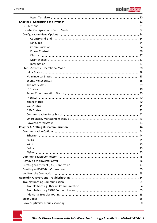| 42 |
|----|
|    |
|    |
|    |
|    |
|    |
|    |
|    |
|    |
|    |
|    |
|    |
|    |
|    |
|    |
|    |
|    |
|    |
|    |
|    |
|    |
|    |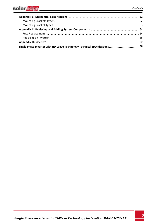### solar <mark>êdge</mark>

| Single Phase Inverter with HD-Wave Technology Technical Specifications 68 |  |
|---------------------------------------------------------------------------|--|

<u> 1980 - Johann Barbara, martxa amerikan per</u>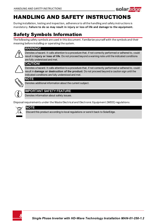

### <span id="page-8-0"></span>HANDLING AND SAFETY INSTRUCTIONS

<span id="page-8-1"></span>During installation, testing and inspection, adherence to all the handling and safety instructions is mandatory. **Failure to do so may result in injury or loss of life and damage to the equipment.**

### Safety Symbols Information

The following safety symbols are used in this document. Familiarize yourself with the symbols and their meaning before installing or operating the system.

#### WARNING!

Denotes a hazard. It calls attention to a procedure that, if not correctly performed or adhered to, could result in **injury or loss of life**. Do not proceed beyond a warning note until the indicated conditions are fully understood and met.

#### CAUTION!

Denotes a hazard. It calls attention to a procedure that, if not correctly performed or adhered to, could result in **damage or destruction of the product**. Do not proceed beyond a caution sign until the indicated conditions are fully understood and met.



#### NOTE

Denotes additional information about the current subject.



#### IMPORTANT SAFETY FEATURE

Denotes information about safety issues.

Disposal requirements under the Waste Electrical and Electronic Equipment (WEEE) regulations:



#### NOTE

Discard this product according to local regulations or send it back to SolarEdge.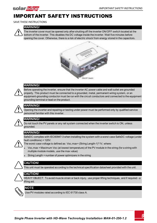<span id="page-9-0"></span>

### IMPORTANT SAFETY INSTRUCTIONS

#### SAVE THESE INSTRUCTIONS

#### WARNING!

The inverter cover must be opened only after shutting off the inverter ON/OFF switch located at the bottom of the inverter. This disables the DC voltage inside the inverter. Wait five minutes before opening the cover. Otherwise, there is a risk of electric shock from energy stored in the capacitors.





#### WARNING!

Before operating the inverter, ensure that the inverter AC power cable and wall outlet are grounded properly. This product must be connected to a grounded, metal, permanent wiring system, or an equipment-grounding conductor must be run with the circuit conductors and connected to the equipment grounding terminal or lead on the product.



#### WARNING!

Opening the inverter and repairing or testing under power must be performed only by qualified service personnel familiar with this inverter.



#### WARNING!

Do not touch the PV panels or any rail system connected when the inverter switch is ON, unless grounded.



SafeDC complies with IEC60947-3 when installing the system with a worst case SafeDC voltage (under fault conditions) < 120V.



#### The worst case voltage is defined as: Voc,max+ (String Length-1)\*1V, where:

- <sup>l</sup> Voc,max = Maximum Voc (at lowest temperature) of the PV module in the string (for a string with multiple module models, use the max value)
- **.** String Length = number of power optimizers in the string



#### CAUTION!

This unit must be operated according to the technical specification datasheet provided with the unit.



#### CAUTION!

HEAVY OBJECT. To avoid muscle strain or back injury, use proper lifting techniques, and if required - a lifting aid.



#### **NOTE**

Use PV modules rated according to IEC 61730 class A.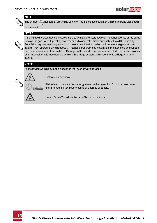



**NOTE** 

The symbol  $\bigcirc$  appears at grounding points on the SolarEdge equipment. This symbol is also used in

#### this manual.

#### **NOTE**



A SolarEdge inverter may be installed in a site with a generator, however must not operate at the same time as the generator. Operating an inverter and a generator simultaneously will void the warranty. SolarEdge requires installing a physical or electronic interlock, which will prevent the generator and inverter from operating simultaneously. Interlock procurement, installation, maintenance and support are the responsibility of the installer. Damage to the inverter due to incorrect interlock installation or use of an interlock that is incompatible with the SolarEdge system will render the SolarEdge warranty invalid.

### **NOTE**

The following warning symbols appear on the inverter warning label:



Risk of electric shock

Risk of electric shock from energy stored in the capacitor. Do not remove cover until 5 minutes after disconnecting all sources of supply. zetucik



Hot surface – To reduce the risk of burns, do not touch.

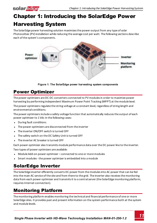## Chapter 1: Introducing the SolarEdge Power Harvesting System

The SolarEdge power harvesting solution maximizes the power output from any type of solar Photovoltaic (PV) installation while reducing the average cost per watt. The following sections describe each of the system's components.



**Figure 1: The SolarEdge power harvesting system components**

### <span id="page-11-1"></span>Power Optimizer

<span id="page-11-0"></span>solar.adge

The power optimizers are DC-DC converters connected to PV modules in order to maximize power harvesting by performing independent Maximum Power Point Tracking (MPPT) at the module level.

The power optimizers regulate the string voltage at a constant level, regardless of string length and environmental conditions.

The power optimizers include a safety voltage function that automatically reduces the output of each power optimizer to 1 Vdc in the following cases:

- **.** During fault conditions
- The power optimizers are disconnected from the inverter
- The inverter ON/OFF switch is turned OFF
- The safety switch on the DC Safety Unit is turned OFF
- The inverter AC breaker is turned OFF

Each power optimizer also transmits module performance data over the DC power line to the inverter.

Two types of power optimizers are available:

- Module Add-on power optimizer connected to one or more modules
- <span id="page-11-2"></span>Smart modules - the power optimizer is embedded into a module

### SolarEdge Inverter

The SolarEdge inverter efficiently converts DC power from the modules into AC power that can be fed into the main AC service of the site and from there to the grid. The inverter also receives the monitoring data from each power optimizer and transmits it to a central server (the SolarEdge monitoring platform; requires Internet connection).

### <span id="page-11-3"></span>Monitoring Platform

The monitoring platform enables monitoring the technical and financial performance of one or more SolarEdge sites. It provides past and present information on the system performance both at the system and module levels.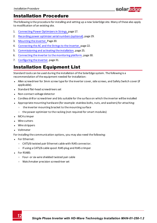### <span id="page-12-0"></span>Installation Procedure

The following is the procedure for installing and setting up a new SolarEdge site. Many of these also apply to modification of an existing site.

solar.a

- 1. Connecting Power [Optimizersin](#page-17-0) Strings, page [17](#page-17-0).
- 2. Recording power optimizer serial [numbers\(optional\)](#page-29-0), page [29](#page-29-0).
- 3. [Mounting](#page-20-0) the inverter, Page [20.](#page-20-0)
- 4. [Connecting](#page-22-1) the AC and the Stringsto the Inverter, page [22](#page-22-1).
- 5. [Commissioning](#page-25-0) and activating the installation, page [25.](#page-25-0)
- 6. Connecting the inverter to [themonitoring](#page-30-0) platform, page [30.](#page-30-0)
- <span id="page-12-1"></span>7. [Configuring](#page-31-0) the inverter, page [31](#page-31-0).

### Installation Equipment List

Standard tools can be used during the installation of the SolarEdge system. The following is a recommendation of the equipment needed for installation:

- Allen screwdriver for 3mm screw type for the inverter cover, side screws, and Safety Switch cover (if applicable).
- Standard flat-head screwdrivers set
- Non-contact voltage detector
- Cordless drill or screwdriver and bits suitable for the surface on which the inverter will be installed
- Appropriate mounting hardware (for example: stainless bolts, nuts, and washers) for attaching:
	- o the inverter mounting bracket to the mounting surface
	- o the power optimizer to the racking (not required for smart modules)
- MC4 crimper
- Wire cutters
- Wire strippers
- <sup>l</sup> Voltmeter

For installing the communication options, you may also need the following:

- For Ethernet:
	- o CAT5/6 twisted pair Ethernet cable with RJ45 connector.
	- o If using a CAT5/6 cable spool: RJ45 plug and RJ45 crimper
- $\cdot$  For RS485:
	- o Four- or six-wire shielded twisted pair cable
	- o Watchmaker precision screwdriver set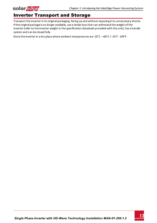<span id="page-13-0"></span>

### Inverter Transport and Storage

Transport the inverter in its original packaging, facing up and without exposing it to unnecessary shocks. If the original package is no longer available, use a similar box that can withstand the weight of the inverter (refer to the inverter weight in the specification datasheet provided with the unit), has a handle system and can be closed fully.

Store the inverter in a dry place where ambient temperatures are -25°C - +65°C / -13°F - 149°F.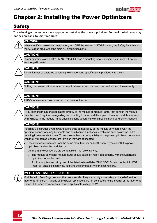

## <span id="page-14-1"></span><span id="page-14-0"></span>Chapter 2: Installing the Power Optimizers

### **Safety**

The following notes and warnings apply when installing the power optimizers. Some of the following may not be applicable to smart modules:



#### WARNING!

When modifying an existing installation, turn OFF the inverter ON/OFF switch, the Safety Switch and the AC circuit breaker on the main AC distribution panel.



#### CAUTION!

Power optimizers are IP68/NEMA6P rated. Choose a mounting location where optimizers will not be submerged in water.



#### CAUTION!

This unit must be operated according to the operating specifications provided with the unit.



#### CAUTION!

Cutting the power optimizer input or output cable connector is prohibited and will void the warranty.



#### CAUTION!

All PV modules must be connected to a power optimizer.



#### CAUTION!

If you intend to mount the optimizers directly to the module or module frame, first consult the module manufacturer for guidance regarding the mounting location and the impact, if any, on module warranty. Drilling holes in the module frame should be done according to the module manufacturer instructions.

#### CAUTION!

Installing a SolarEdge system without ensuring compatibility of the module connectors with the optimizer connectors may be unsafe and could cause functionality problems such as ground faults, resulting in inverter shut down. To ensure mechanical compatibility of the power optimizers' connectors with the PV modules' connectors to which they are connected:



- Use identical connectors from the same manufacturer and of the same type on both the power optimizers and on the modules; or
- Verify that the connectors are compatible in the following way:
	- $\circ$  The module connector manufacturer should explicitly verify compatibility with the SolarEdge optimizer connector; and
	- o A third-party test report by one of the listed external labs (TUV, VDE, Bureau Veritas UL, CSA, InterTek) should be obtained, verifying the compatibility of the connectors.

#### IMPORTANT SAFETY FEATURE



Modules with SolarEdge power optimizers are safe. They carry only a low safety voltage before the inverter is turned ON. As long as the power optimizers are not connected to the inverter or the inverter is turned OFF, each power optimizer will output a safe voltage of 1V.

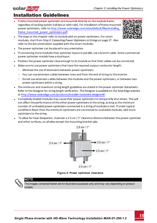### <span id="page-15-0"></span>Installation Guidelines

- <sup>l</sup> Frame-mounted power optimizers are mounted directly on the module frame , regardless of racking system (rail-less or with rails). For installation of frame-mounted power optimizers, refer to [http://www.solaredge.com/sites/default/files/installing\\_](http://www.solaredge.com/sites/default/files/installing_frame_mounted_power_optimizers.pdf) [frame\\_mounted\\_power\\_optimizers.pdf](http://www.solaredge.com/sites/default/files/installing_frame_mounted_power_optimizers.pdf).
- The steps in this chapter refer to module add-on power optimizers. For smart modules, start from *[Step 3: Connecting Power Optimizers in Strings](#page-17-0)* [on page 17](#page-17-0) . Also refer to the documentation supplied with the smart modules.
- The power optimizer can be placed in any orientation.
- <sup>l</sup> If connecting more modules than optimizer inputs in parallel, use a branch cable. Some commercial power optimizer models have a dual input.
- Position the power optimizer close enough to its module so that their cables can be connected.
- <sup>l</sup> Make sure to use power optimizers that have the required output conductor length:
	- o Minimize the use of extensions between power optimizers.

 $2.5$  cm  $7$   $1$ <sup>\*</sup>

- $\circ$  You can use extension cables between rows and from the end of string to the inverter.
- o *Do not* use extension cables between the modules and the power optimizers, or between two power optimizers within a string.
- <sup>l</sup> The minimum and maximum string length guidelines are stated in the power optimizer datasheets. Refer to the Designer for string length verification. The Designer is available on the SolarEdge website at<http://www.solaredge.com/products/installer-tools/site-designer#/>.
- Completely shaded modules may cause their power optimizers to temporarily shut down. This will not affect the performance of the other power optimizers in the string, as long as the minimum number of unshaded power optimizers connected in a string of modules is met. If under typical conditions fewer than the minimum optimizers are connected to unshaded modules, add more optimizers to the string.
- To allow for heat dissipation, maintain a 2.5 cm / 1" clearance distance between the power optimizer and other surfaces, on all sides except the mounting bracket side.

 $25 cm / 11$ 

 $2.5$  cm  $/1$ 

 $2.5$  cm  $/ T$ 

**Figure 2: Power optimizer clearance**

 $2.5$  cm  $/1$ <sup>\*</sup>

The images contained herein are for illustrative purposes only and may vary depending on product models.



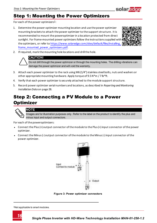<span id="page-16-0"></span>

For each of the power optimizers1:

1. Determine the power optimizer mounting location and use the power optimizer mounting brackets to attach the power optimizer to the support structure . It is recommended to mount the poweroptimizer in a location protected from direct sunlight. For frame-mounted power optimizers follow the instructions supplied with the optimizers, or refer to [https://www.solaredge.com/sites/default/files/installing\\_](https://www.solaredge.com/sites/default/files/installing_frame_mounted_power_optimizers.pdf) [frame\\_mounted\\_power\\_optimizers.pdf.](https://www.solaredge.com/sites/default/files/installing_frame_mounted_power_optimizers.pdf)



solar.

2. If required, mark the mounting hole locations and drill the hole.



#### CAUTION!

Do not drill through the power optimizer or through the mounting holes. The drilling vibrations can damage the power optimizer and will void the warranty.

- 3. Attach each power optimizer to the rack using M6 (1/4'') stainless steel bolts, nuts and washers or other appropriate mounting hardware. Apply torque of 9.5 N\*m / 7 lb\*ft.
- 4. Verify that each power optimizer is securely attached to the module support structure.
- <span id="page-16-1"></span>5. Record power optimizer serial numbers and locations, as described in *[Reporting and Monitoring](#page-28-1)  [Installation Data](#page-28-1)* [on page 28](#page-28-1).

### Step 2: Connecting a PV Module to a Power **Optimizer**



#### **NOTE**

Images are for illustration purposes only. Refer to the label on the product to identify the plus and minus input and output connectors.

For each of the poweroptimizers:

- <sup>l</sup> Connect the Plus (+) output connector of the module to the Plus (+) input connector of the power optimizer.
- Connect the Minus (-) output connector of the module to the Minus (-) input connector of the power optimizer.



**Figure 3: Power optimizer connectors**

1Not applicable to smart modules.

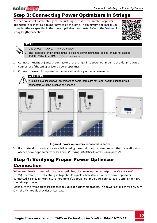### Step 3: Connecting Power Optimizers in Strings

You can construct parallel strings of unequal length, that is, the number of power optimizers in each string does not have to be the same. The minimum and maximum string lengths are specified in the power optimizer datasheets. Refer to the [Designer](https://www.solaredge.com/products/installer-tools/designer#/) for string length verification.





### NOTE

<span id="page-17-0"></span>solar.adge

- Use at least 11 AWG/ 4 mm<sup>2</sup> DC cables.
- The total cable length of the string (excluding power optimizers' cables) should not exceed 1000ft./300 m from DC+ to DC- of the inverter.
- 1. Connect the Minus (-) output connector of the string's first power optimizer to the Plus (+) output connector of the string's second power optimizer.
- 2. Connect the rest of the power optimizers in the string in the same manner.

WARNING! If using a dual-input power optimizer and some inputs are not used, seal the unused input connectors with the supplied pair of seals.



#### **Figure 4: Power optimizers connected in series**

<span id="page-17-1"></span>3. If you intend to monitor the installation, using the monitoring platform, record the physical location of each power optimizer, as described in *[Providing Installation Information](#page-29-0)* [on page 29](#page-29-0).

### Step 4: Verifying Proper Power Optimizer Connection

When a module is connected to a power optimizer, the power optimizer outputs a safe voltage of 1V (±0.1V). Therefore, the total string voltage should equal 1V times the number of power optimizers connected in series in the string. For example, if 10 power optimizers are connected in a string, then 10V should be produced.

Make sure the PV modules are exposed to sunlight during this process. The power optimizer will only turn ON if the PV module provides at least 2W.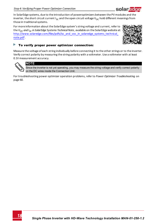

For more information about the SolarEdge system's string voltage and current, refer to the *V*<sub>OC</sub> and *I<sub>SC</sub>* in SolarEdge Systems Technical Note, available on the SolarEdge website at: [http://www.solaredge.com/files/pdfs/isc\\_and\\_voc\\_in\\_solaredge\\_systems\\_technical\\_](http://www.solaredge.com/files/pdfs/isc_and_voc_in_solaredge_sytems_technical_note.pdf) [note.pdf](http://www.solaredge.com/files/pdfs/isc_and_voc_in_solaredge_sytems_technical_note.pdf) .



#### Þ To verify proper power optimizer connection:

Measure the voltage of each string individually before connecting it to the other strings or to the inverter. Verify correct polarity by measuring the string polarity with a voltmeter. Use a voltmeter with at least 0.1V measurement accuracy.



#### **NOTE**

the inverter is not yet operating, you may measure the string voltage and verify correct polarity on the DC wires inside the Connection Unit.

For troubleshooting power optimizer operation problems, refer to *[Power Optimizer Troubleshooting](#page-60-0)*  [on](#page-60-0)  [page 60.](#page-60-0)

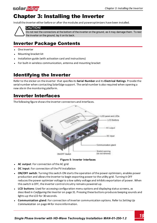### <span id="page-19-0"></span>solar.adge Chapter 3: Installing the Inverter

Install the inverter either before or after the modules and poweroptimizers have been installed.



#### CAUTION!

Do not rest the connectors at the bottom of the inverter on the ground, as it may damage them. To rest the inverter on the ground, lay it on its back.

### <span id="page-19-1"></span>Inverter Package Contents

- $\bullet$ One inverter
- $\bullet$ Mounting bracket kit
- $\bullet$ Installation guide (with activation card and instructions)
- <span id="page-19-2"></span> $\bullet$ For built-in wireless communication, antenna and mounting bracket

### Identifying the Inverter

Refer to the sticker on the inverter that specifies its **Serial Number** and its **Electrical Ratings**. Provide the serial number when contacting SolarEdge support. The serial number is also required when opening a new site in the monitoring platform.

### <span id="page-19-3"></span>Inverter Interfaces

The following figure shows the inverter connectors and interfaces.



**Figure 5: Inverter Interfaces** 

- <span id="page-19-4"></span>**AC output:** For connection of the AC grid
- **DC input: For connection of the PV installation**
- <sup>l</sup> **ON/OFF switch**: Turning this switch ON starts the operation of the power optimizers, enables power production and allows the inverter to begin exporting power to the utility grid. Turning it OFF reduces the power optimizer voltage to a low safety voltage and inhibits exportation of power. When this switch is OFF, the inverter control circuitry remains powered up.
- **LCD buttons**: Used for accessing configuration menu options and displaying status screens, as described in *[Configuring the Inverter](#page-31-0)* [on page 31](#page-31-0). Pressing these buttons produces beeping sounds and lights up the LCD for 30 seconds.
- <sup>l</sup> **Communication gland**: For connection of inverter communication options. Refer to *[Setting Up](#page-44-0)*  Communication [on page 44](#page-44-0) for more information.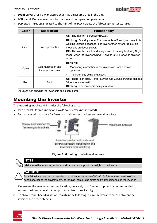

- <sup>l</sup> **Drain valve**: Drains any moisture that may be accumulated in the unit.
- <sup>l</sup> **LCD panel**: Displays inverter information and configuration parameters
- <sup>l</sup> **LCD LEDs**: Three LEDs located to the right of the LCD indicate the following inverter statuses:

| Color  | <b>Description</b>                                       | <b>Functionality</b>                                                                                                                                                     |
|--------|----------------------------------------------------------|--------------------------------------------------------------------------------------------------------------------------------------------------------------------------|
| Green  | Power production                                         | <b>On</b> - The inverter is producing power.                                                                                                                             |
|        |                                                          | <b>Blinking</b> - Standby mode. The inverter is in Standby mode until its<br>working voltage is reached. The inverter then enters Production<br>mode and produces power. |
|        |                                                          | <b>Off</b> - The inverter is not producing power. This may be during Night                                                                                               |
|        |                                                          | mode, when the inverter ON/OFF switch is OFF or when an error<br>occurs.                                                                                                 |
|        |                                                          | <b>Blinking:</b>                                                                                                                                                         |
| Yellow | Communication and<br>inverter shutdown                   | Monitoring information is being received from a power<br>$\circ$<br>optimizer.                                                                                           |
|        |                                                          | The inverter is being shut down.<br>$\circ$                                                                                                                              |
| Red    | Fault                                                    | <b>On</b> - There is an error. Refer to <i>Errors and Troubleshooting</i> on page<br>54 for more information.<br><b>Blinking</b> - The inverter is being shut down.      |
|        | All LEDs turn on while the inverter is being configured. |                                                                                                                                                                          |

### <span id="page-20-0"></span>Mounting the Inverter

The mounting brackets kit includes the following parts:

- Two brackets for mounting on a wall/ pole (screws not included)
- Two screws with washers for fastening the inverter brackets to the wall brackets.



inverter's heatsink fins)

**Figure 6: Mounting brackets and screws**



- 1. Determine the inverter mounting location, on a wall, stud framing or pole. It is recommended to mount the inverter in a location protected from direct sunlight.
- 2. To allow proper heat dissipation, maintain the following minimum clearance areas between the inverter and other objects:

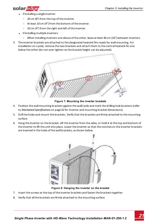- solar.adoe
	- If installing a single inverter:
		- o 20 cm (8") from the top of the inverter.
		- o At least 10 cm (4") from the bottom of the inverter.
		- o 10 cm (4") from the right and left of the inverter.
	- If installing multiple inverters:
		- $\circ$  When installing inverters one above of the other, leave at least 40 cm (16") between inverters.
- 3. The inverter brackets are attached to the designated heatsink fins ready for wall mounting. For installation on a pole, remove the two brackets and attach them to the central heatsink fin one below the other (do not over tighten so the bracket height can be adjusted).



**Figure 7: Mounting the inverter brackets**

- 4. Position the wall mounting brackets against the wall/ pole and mark the drilling hole locations (refer to *[Mechanical Specifications](#page-62-0)* [on page 62](#page-62-0) for inverter and mounting bracket dimensions).
- 5. Drill the holes and mount the brackets. Verify that the brackets are firmly attached to the mounting surface.
- 6. Hang the inverter on the bracket: Lift the inverter from the sides, or hold it at the top and bottom of the inverter to lift the unit into place. Lower the inverter so that the notches on the inverter brackets are inserted in the holes of the wall brackets, as shown below.



**Figure 8: Hanging the inverter on the bracket**

- 7. Insert the screws at the top of the inverter brackets and fasten the brackets together.
- 8. Verify that all the brackets are firmly attached to the mounting surface.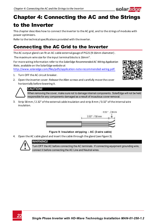# <span id="page-22-0"></span>Chapter 4: Connecting the AC and the Strings to the Inverter

This chapter describes how to connect the inverter to the AC grid, and to the strings of modules with power optimizers.

<span id="page-22-1"></span>Refer to the technical specifications provided with the inverter.

### Connecting the AC Grid to the Inverter

The AC output gland can fit an AC cable external gauge of PG21 (9-16mm diameter) .

The maximum wire size for the input terminal blocks is 16mm².

For more wiring information refer to the *SolarEdge Recommended AC Wiring Application Note*, available on the SolarEdge website at

[http://www.solaredge.com/files/pdfs/application-note-recommended-wiring.pdf.](http://www.solaredge.com/files/pdfs/application-note-recommended-wiring.pdf)

- 1. Turn OFF the AC circuit breaker.
- 2. Open the inverter cover: Release the Allen screws and carefully move the cover horizontally before lowering it.



solaredoe



#### CAUTION!

When removing the cover, make sure not to damage internal components. SolarEdge will not be held responsible for any components damaged as a result of incautious cover removal.

3. Strip 58mm / 2.32'' of the external cable insulation and strip 8 mm / 0.32'' of the internal wire insulation.



#### **Figure 9: Insulation stripping – AC (3-wire cable)**

4. Open the AC cable gland and insert the cable through the gland (see *[Figure 5](#page-19-4)*).



### WARNING!

Turn OFF the AC before connecting the AC terminals. If connecting equipment grounding wire, connect it before connecting the AC Line and Neutral wires.

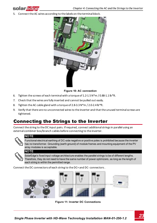

5. Connect the AC wires according to the labels on the terminal block.



**Figure 10: AC connection**

- 6. Tighten the screws of each terminal with a torque of 1.2-1.5 N\*m / 0.88-1.1 lb\*ft.
- 7. Check that the wires are fully inserted and cannot be pulled out easily.
- 8. Tighten the AC cable gland with a torque of 2.8-3.3 N\*m / 2.0-2.4 lb\*ft.
- <span id="page-23-0"></span>9. Verify that there are no unconnected wires to the inverter and that the unused terminal screws are tightened.

### Connecting the Strings to the Inverter

Connect the string to the DC input pairs. If required, connect additional strings in parallel using an external combiner box/branch cables before connecting to the inverter.



### NOTE

Functional electrical earthing of DC-side negative or positive poles is prohibited because the inverter has no transformer. Grounding (earth ground) of module frames and mounting equipment of the PV array modules is acceptable.



#### **NOTE**

SolarEdge's fixed input voltage architecture enables the parallel strings to be of different lengths. Therefore, they do not need to have the same number of power optimizers, as long as the length of each string is within the permitted range.

Connect the DC connectors of each string to the DC+ and DC- connectors .





**Figure 11: Inverter DC Connections**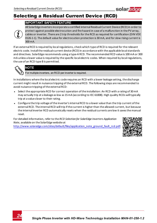

### <span id="page-24-0"></span>Selecting a Residual Current Device (RCD)

#### IMPORTANT SAFETY FEATURE



All SolarEdge inverters incorporate a certified internal Residual Current Device (RCD) in order to protect against possible electrocution and fire hazard in case of a malfunction in the PV array, cables or inverter. There are 2 trip thresholds for the RCD as required for certification (DIN VDE 0126-1-1). The default value for electrocution protection is 30 mA, and for slow rising current is 300 mA.

If an external RCD is required by local regulations, check which type of RCD is required for the relevant electric code. Install the residual-current device (RCD) in accordance with the applicable local standards and directives. SolarEdge recommends using a type-A RCD. The recommended RCD value is 100 mA or 300 mA unless a lower value is required by the specific local electric codes. When required by local regulations, the use of an RCD type B is permitted.



### NOTE

For multiple inverters, an RCD per inverter is required.

In installations where the local electric code requires an RCD with a lower leakage setting, the discharge current might result in nuisance tripping of the external RCD. The following steps are recommended to avoid nuisance tripping of the external RCD:

- Select the appropriate RCD for correct operation of the installation: An RCD with a rating of 30 mA may actually trip at a leakage as low as 15 mA (according to IEC 61008). High quality RCDs will typically trip at a value closer to their rating.
- Configure the trip voltage of the inverter's internal RCD to a lower value than the trip current of the external RCD. The internal RCD will trip if the current is higher than the allowed current, but because the internal inverter RCD automatically resets when the residual currents are low it saves the manual reset.

For detailed information, refer to the *RCD Selection for SolarEdge Inverters Application Note*, available on the SolarEdge website at

[http://www.solaredge.com/sites/default/files/application\\_note\\_ground\\_fault\\_rcd.pdf.](http://www.solaredge.com/sites/default/files/application_note_ground_fault_rcd.pdf)

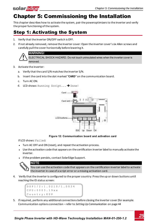### Chapter 5: Commissioning the Installation

<span id="page-25-1"></span>This chapter describes how to activate the system, pair the poweroptimizers to the inverter and verify the proper functioning of the system.

### Step 1: Activating the System

- 1. Verify that the inverter ON/OFF switch is OFF.
- 2. If not already removed, remove the inverter cover: Open the inverter cover's six Allen screws and carefully pull the cover horizontally before lowering it.



ELECTRICAL SHOCK HAZARD. Do not touch uninsulated wires when the inverter cover is removed.

3. Activate the inverter:

<span id="page-25-0"></span>solar.adge

- a. Verify that the card S/N matches the inverter S/N.
- b. Insert the card into the slot marked "**CARD**" on the communication board.
- c. Turn AC ON.
- d. LCD shows: Running Script... > Done!



**Figure 12: Communication board and activation card**

If LCD shows: Failed:

- Turn AC OFF and ON (reset), and repeat the activation process.
- Use the activation code that appears on the certification inverter label to manually activate the inverter.
- If the problem persists, contact SolarEdge Support.

NOTE

You can use the activation code that appears on the certification inverter label to activate the inverter in case of a script error or a missing activation card.

4. Verify that the inverter is configured to the proper country: Press the up or down buttons until reaching the ID status screen:

```
D S P 1 / 2 : 1 . 0 2 1 0 / 1 . 0 0 3 4
C P U : 0 0 0 3 . 1 9 x x 
C o u n t r y : E S P
```
5. If required, perform any additional connections before closing the inverter cover (for example: Communication options connection – refer to *[Setting Up Communication](#page-44-0)*  [on page 44](#page-44-0)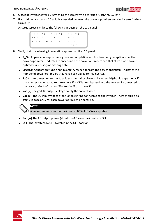

- 6. Close the inverter cover by tightening the screws with a torque of  $3.0 N^*m/2.2$  lb<sup>\*ft</sup>.
- 7. If an additional external DC switch is installed between the power optimizers and the inverter(s) then turn it ON.

A status screen similar to the following appears on the LCD panel:

.<br>V a c [ V ] V d c [ V ] P a c [ w ]  $240$   $7$   $14$   $1$  0 0  $P$  OK: 000/000 < S OK >  $\hbox{O}\hskip 1mm F$  F  $\hbox{F}$ 

- 8. Verify that the following information appears on the LCD panel:
	- P OK: Appears only upon pairing process completion and first telemetry reception from the power optimizers. Indicates connection to the power optimizers and that at least one power optimizer is sending monitoring data.
	- **000/000**: Appears only upon first telemetry reception from the power optimizers. Indicates the number of power optimizers that have been paired to this inverter.
	- S OK: the connection to the SolarEdge monitoring platform is successful (should appear only if the inverter is connected to the server). If S\_OK is not displayed and the inverter is connected to the server, refer to *[Errors and Troubleshooting](#page-54-0)* [on page 54.](#page-54-0)
	- **Vac [V]**: the grid AC output voltage. Verify the correct value.
	- **· Vdc [V]**: The DC input voltage of the longest string connected to the inverter. There should be a safety voltage of 1V for each power optimizer in the string.



A measurement error on the inverter LCD of ±3 V is acceptable.

- **Pac [w]:** the AC output power (should be 0.0 since the inverter is OFF).
- **OFF:** The inverter ON/OFF switch is in the OFF position.

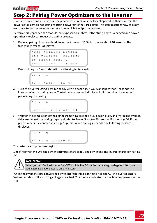### Step 2: Pairing Power Optimizers to the Inverter

Once all connections are made, all the power optimizers must be logically paired to their inverter. The power optimizers do not start producing power until they are paired. This step describes how to assign each inverter to the power optimizers from which it will produce power.

Perform this step when the modules are exposed to sunlight. If the string length is changed or a power optimizer is replaced, repeat the pairing process.

1. Perform pairing: Press and hold down the inverter LCD OK button for about **10 seconds**. The following message is displayed:

```
Keep holding button
for pairing, release
to enter menu...
Remaining: 3 sec
```
Keep holding for 5 seconds until the following is displayed:

```
P a i r i n g 
Turn Switch To On
```
2. Turn the inverter ON/OFF switch to ON within 5 seconds. If you wait longer than 5 seconds the inverter exits the pairing mode. The following message is displayed indicating that the inverter is performing the pairing:

```
P a i r i n g
Remaining [sec]: 180
```
3. Wait for the completion of the pairing (remaining seconds is 0). If pairing fails, an error is displayed. In this case, repeat the pairing steps, and refer to *[Power Optimizer Troubleshooting](#page-60-0)*  [on page 60](#page-60-0). If the problem persists, contact SolarEdge Support. When pairing succeeds, the following message is displayed:

```
P a i r i n g
Pairing Completed
```
The system startup process begins:

<span id="page-27-0"></span>**solar** adde

Since the inverter is ON, the power optimizers start producing power and the inverter starts converting AC.



#### WARNING!

When you turn ON the inverter ON/OFF switch, the DC cables carry a high voltage and the power optimizers no longer output a safe 1V output.

When the inverter starts converting power after the initial connection to the AC, the inverter enters Wakeup mode until its working voltage is reached. This mode is indicated by the flickering green inverter LED.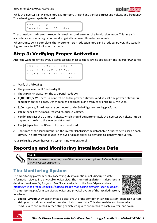While the inverter is in Wakeup mode, it monitors the grid and verifies correct grid voltage and frequency. The following message is displayed:

```
Waking Up...
Remaining: 051 Sec
```
The countdown indicates the seconds remaining until entering the Production mode. This time is in accordance with local regulations and is typically between three to five minutes.

<span id="page-28-0"></span>When countdown is complete, the inverter enters Production mode and produces power. The steadily lit green inverter LED indicates this mode.

### Step 3: Verifying Proper Activation

After the wake-up time is over, a status screen similar to the following appears on the inverter LCD panel:

Vac [ V ] V d c [ V ] P a c [ W ] 2 4 0 . 7 3 7 1 . 9 2 3 4 9 . 3 P O K : X X X / Y Y Y < S O K >  $\overline{\text{O N}}$ 

- 1. Verify the following:
- The green inverter LED is steadily lit.
- **.** The ON/OFF indicator on the LCD panel reads ON.
- **P\_OK: XXX/YYY**: There is a connection to the power optimizers and at least one power optimizer is sending monitoring data. Optimizers send telemetries in a frequency of up to 10 minutes.
- S OK appears, if the inverter is connected to the SolarEdge monitoring platform.
- **Vac [V]** specifies the measured grid AC output voltage.
- **Vdc [v]** specifies the DC input voltage, which should be approximately the inverter DC voltage (model dependent; refer to the inverter datasheet)
- **Pac [W]** specifies the AC output power produced.
- 2. Take note of the serial number on the inverter label using the detachable 2D barcode sticker on each device. This information is used in the SolarEdge monitoring platform to identify this inverter.

<span id="page-28-1"></span>Your SolarEdge power harvesting system is now operational.

### Reporting and Monitoring Installation Data



#### **NOTE**

This step requires connecting one of the communication options. Refer to *[Setting Up](#page-44-0)  [Communication](#page-44-0)* [on page 44](#page-44-0).

### <span id="page-28-2"></span>The Monitoring System

The monitoring platform enables accessing site information, including up-to-date information viewed in a physical or logical view. The monitoring platform is described in detail in the *Monitoring Platform User Guide*, available on the SolarEdge website at [http://www.solaredge.com/files/pdfs/solaredge-monitoring-platform-user-guide.pdf](http://www.solaredge.com/files/pdfs/solaredge-monitoring-portal-user-guide.pdf). The monitoring platform can display logical and physical layouts of the installed system, as follows:



**Logical Layout**: Shows a schematic logical layout of the components in the system, such as: inverters, strings and modules, as well as their electrical connectivity. This view enables you to see which modules are connected in each string, which strings are connected to each inverter, and so on.

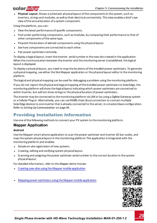### solar.adge

**Physical Layout**: Shows a schematic physical layout of the components in the system, such as: inverters, strings and modules, as well as their electrical connectivity. This view enables a bird's eye view of the actual location of a system component.

Using the platform, you can:

- View the latest performance of specific components.
- <sup>l</sup> Find under-performing components, such as modules, by comparing their performance to that of other components of the same type.
- Pinpoint the location of alerted components using the physical layout.
- See how components are connected to each other.
- Pair power optimizers remotely.

To display a logical layout, insert the inverter serial number in the new site created in the application. When the communication between the inverter and the monitoring server is established, the logical layout is displayed.

To display a physical layout, you need to map the locations of the installed power optimizers. To generate a physical mapping, use either the Site Mapper application or the physical layout editor in the monitoring platform.

The logical and physical mapping can be used for debugging a problem using the monitoring platform.

If you do not report the physical and logical mapping of the installed power optimizers to SolarEdge, the monitoring platform will show the logical layout indicating which power optimizers are connected to which inverter, but will not show strings or the physical location of power optimizers .

The inverter may be connected to the monitoring platform via LAN or by using a ZigBee Gateway system or a Cellular Plug-in. Alternatively, you can use RS485 chain (bus) connection to connect multiple SolarEdge devices to one inverter that is already connected to the server, in a master/slave configuration. Refer to *Setting Up Communication* [on page 44](#page-44-0).

### <span id="page-29-0"></span>Providing Installation Information

<span id="page-29-1"></span>Use one of the following methods to connect your PV system to the monitoring platform.

#### **Mapper Application**

#### **Android**

Use the Mapper smart-phone application to scan the power optimizer and inverter 2D bar-codes, and map the system physical layout in the monitoring platform.This application is integrated with the monitoring platform and enables:

- Simple on-site registration of new systems.
- Creating, editing and verifying system physical layout.
- <sup>l</sup> Scanning and assigning the power optimizer serial number to the correct location in the system physical layout.

For detailed information, refer to the *Mapper* demo movies:

- <sup>l</sup> Creating new sites using the Mapper mobile [application](https://www.youtube.com/watch?v=NM4FbleGNUc)
- <sup>l</sup> Mapping power optimizers using the Mapper mobile [application](https://www.youtube.com/watch?v=JbriIDSrsOQ)



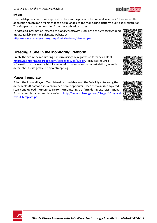#### **iPhone**

Use the Mapper smartphone application to scan the power optimizer and inverter 2D bar-codes. This application creates an XML file that can be uploaded to the monitoring platform during site registration. The Mapper can be downloaded from the application stores.

For detailed information, refer to the *Mapper Software Guide* or to the *Site Mapper* demo movie, available on the SolarEdge website at

<http://www.solaredge.com/groups/installer-tools/site-mapper>.

### <span id="page-30-0"></span>**Creating a Site in the Monitoring Platform**

Create the site in the monitoring platform using the registration form available at <https://monitoring.solaredge.com/solaredge-web/p/login>. Fill out all required information in the form, which includes information about your installation, as well as details about its logical and physical mapping.

### <span id="page-30-1"></span>**Paper Template**

Fill out the Physical Layout Template (downloadable from the SolarEdge site) using the detachable 2D barcode stickers on each power optimizer. Once the form is completed, scan it and upload the scanned file to the monitoring platform during site registration. For an example paper template, refer to [http://www.solaredge.com/files/pdfs/physical](http://www.solaredge.com/files/pdfs/physical-layout-template.pdf)[layout-template.pdf.](http://www.solaredge.com/files/pdfs/physical-layout-template.pdf)







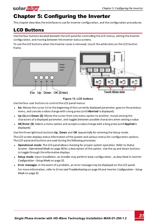<span id="page-31-0"></span>

### Chapter 5: Configuring the Inverter

<span id="page-31-1"></span>This chapter describes the interfaces to use for inverter configuration, and the configuration procedures.

### LCD Buttons

Use the four buttons located beneath the LCD panel for controlling the LCD menus, setting the inverter configuration, and moving between the inverter status screens.

To use the LCD buttons when the inverter cover is removed, touch the white dots on the LCD button frame.



#### **Figure 13: LCD buttons**

Use the four user buttons to control the LCD panel menus:

- <sup>l</sup> **Esc**: Moves the cursor (>) to the beginning of the currently displayed parameter; goes to the previous menu, and cancels a value change with a long press (until **Aborted** is displayed).
- **Up (1)** and **Down (2)**: Moves the cursor from one menu option to another, moves among the characters of a displayed parameter, and toggles between possible characters when setting a value.
- <sup>l</sup> **OK/Enter (3)**: Selects a menu option and accepts a value change with a long press (until **Applied** is displayed).

Use the three rightmost buttons **Up**, **Down** and **OK** sequentially for entering the Setup mode.

The LCD screen displays status information of the system and various menus for configuration options. The LCD panel and buttons are used during the following processes:

- <sup>l</sup> **Operational mode**: The LCD panel allows checking for proper system operation. Refer to *[Status](#page-38-0)  [Screens - Operational Mode](#page-38-0)* [on page 38](#page-38-0) for a description of this option. Use the up and down buttons to toggle through the informative displays.
- <sup>l</sup> **Setup mode**: Upon installation, an installer may perform basic configuration , as described in *[Inverter](#page-32-0)  [Configuration – Setup Mode](#page-32-0)* [on page 32](#page-32-0).
- <sup>l</sup> **Error messages**: In the event of a problem, an error message may be displayed on the LCD panel. For more information, refer to *[Errors and Troubleshooting](#page-54-0)* [on page 54](#page-54-0) and *[Inverter Configuration – Setup](#page-32-0)  [Mode](#page-32-0)* [on page 32.](#page-32-0)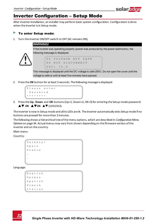

### <span id="page-32-0"></span>Inverter Configuration – Setup Mode

After inverter installation, an installer may perform basic system configuration. Configuration is done when the inverter is in Setup mode.

#### ь To enter Setup mode:

1. Turn the inverter ON/OFF switch to OFF (AC remains ON).

WARNING! If the inverter was operating properly (power was produced by the power optimizers), the following message is displayed. DC VOLTAGE NOT SAFE DO NOT DISCONNECT V D C : 7 2 . 0

This message is displayed until the DC voltage is safe (50V). Do not open the cover until the voltage is safe or until at least five minutes have passed.

2. Press the **OK** button for at least 5 seconds. The following message is displayed:

```
Please enter
 P a s s w o r d
   * * * * * * * *
```
3. Press the **Up**, **Down** and **OK** buttons (Up=1, Down=2, OK=3) for entering the Setup mode password: **AV OK AVOK AV (12312312).** 

The inverter is now in Setup mode and all its LEDs are lit. The inverter automatically exits Setup mode if no buttons are pressed for more than 2 minutes.

The following shows a hierarchical tree of the menu options, which are described in *[Configuration Menu](#page-34-0)  [Options](#page-34-0)* [on page 34.](#page-34-0) Actual menus may vary from shown depending on the firmware version of the inverter and on the country.

Main menu:

Country:

```
G e r m a n y +
S p a i n
F r a n c e
.
.
.
```
Language:

| English |  |
|---------|--|
| German  |  |
| Spanish |  |
| French  |  |
| Italian |  |

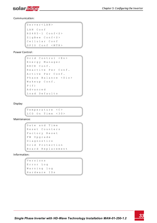

Communication:

```
L A N C o n f
RS485 - 1 Conf < S >
ZigBee Conf < S >
C e l l u l a r C o n f
G P I O C o n f < M T R >
S e r v e r < L A N >
```
Power Control :

```
Grid Control <En>
E n e r g y M a n a g e r
RRCR Conf.
Reactive Pwr Conf.
A c t i v e P w r C o n f.
Phase Balance < Dis>
Wakeup Conf.
P ( f )
A d v a n c e d
Load Defaults
```
Display:

Temperature < C > LCD On Time  $\langle 30 \rangle$ 

Maintenance:

```
Date and Time
R e s e t C o u n t e r s
Factory Reset
FW Upgrade
D i a g n o s t i c s
Grid Protection
B o a r d R e p l a c e m e n t
```
Information:

```
V e r s i o n s
E r r o r L o g
Warning log
H a r d w a r e I D s
```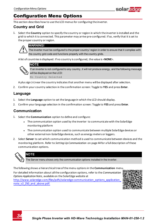

### <span id="page-34-0"></span>Configuration Menu Options

<span id="page-34-1"></span>This section describes how to use the LCD menus for configuring the inverter.

#### **Country and Grid**

1. Select the **Country** option to specify the country or region in which the inverter is installed and the grid to which it is connected. This parameter may arrive pre-configured. If so, verify that it is set to the proper country or region.



The inverter must be configured to the proper country/ region in order to ensure that it complies with the country grid code and functions properly with the country grids.

A list of countries is displayed. If no country is configured, the value is <**NONE**>.



If an inverter is not configured to any country, it will not produce energy, and the following message will be displayed on the LCD:

No Country Selected

A plus sign (+) near the country indicates that another menu will be displayed after selection.

<span id="page-34-2"></span>2. Confirm your country selection in the confirmation screen: Toggle to **YES** and press **Enter**.

### **Language**

- 1. Select the **Language** option to set the language in which the LCD should display.
- <span id="page-34-3"></span>2. Confirm your language selection in the confirmation screen: Toggle to **YES** and press **Enter**.

#### **Communication**

- 1. Select the **Communication** option to define and configure:
	- The communication option used by the inverter to communicate with the SolarEdge monitoring platform
	- The communication option used to communicate between multiple SolarEdge devices or other external non-SolarEdge devices, such as energy meters or loggers.
- 2. Select **Server** to set which communication method is used to communicate between devices and the monitoring platform. Refer to *Setting Up Communication* [on page 44](#page-44-0) for a full description of these communication options.



#### NOTE

The Server menu shows only the communication options installed in the inverter.

The following shows a hierarchical tree of the menu options in the **Communication** menu.

For detailed information about all the configuration options, refer to the *Communication Options Application Note*, available on the SolarEdge website at http://www.solaredge.com/files/pdfs/solaredge-communication\_options\_application [note\\_v2\\_250\\_and\\_above.pdf.](http://www.solaredge.com/files/pdfs/solaredge-communication_options_application_note_v2_250_and_above.pdf)



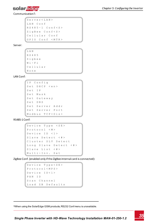

Communication1:

```
S e r v e r < L A N >
L A N C o n f
R S 4 8 5 - 1 Conf \langle S \rangleZigBee Conf < S >
Cellular Conf
G P I O C o n f < M T R >
```
Server:

L A N R S 4 8 5 Z i g b e e  $W$  i - F i C e l l u l a r N o n e

LAN Conf:

```
I P C o n f i g
Set DHCP <en>
S e t I P
S e t M a s k
Set Gateway
S e t D N S
Set Server Addr
Set Server Port
M o d b u s T C P < D i s >
```
RS485-1 Conf:

Device Type <SE> Protocol <M> Device ID <1> S lave Detect <#> Cluster SLV Detect Long Slave Detect <#> Slave List  $\langle # \rangle$ Multi-Inv. Set

ZigBee Conf. (enabled only if the ZigBee internal card is connected):

```
D e v i c e T y p e < S E >
P r o t o c o l < M P S >
D e v i c e I D < 1 >
P A N I D
Scan Channel
Load ZB Defaults
```
1When using the SolarEdge GSM products, RS232 Conf menu is unavailable.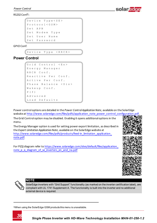RS232 Conf1:

```
Device Type < SE >
P r o t o c o l < G S M >
S \cap F A P N
Set Modem Type
S e t User Name
S e t Password
```
GPIO Conf:

Device Type <RRCR>

### **Power Control**

```
Grid Control <En>
Energy Manager
R R C R C o n f .
Reactive Pwr Conf.
A c t i v e P w r C o n f.
Phase Balance < Dis>
Wakeup Conf.
P ( f ) 
A d v a n c e d 
Load Defaults
```
Power control options are detailed in the *Power Control Application Note*, available on the SolarEdge website at [http://www.solaredge.com/files/pdfs/application\\_note\\_power\\_control\\_configuration.pdf](http://www.solaredge.com/files/pdfs/application_note_power_control_configuration.pdf).

The Grid Control option may be disabled. Enabling it opens additional options in the menu.

The Energy Manager option is used for setting power export limitation, as described in the *Export Limitation Application Note*, available on the SolarEdge website at [http://www.solaredge.com/files/pdfs/products/feed-in\\_limitation\\_application\\_](http://www.solaredge.com/files/pdfs/products/feed-in_limitation_application_note.pdf) [note.pdf](http://www.solaredge.com/files/pdfs/products/feed-in_limitation_application_note.pdf).

For P(Q) diagram refer to [https://www.solaredge.com/sites/default/files/application\\_](https://www.solaredge.com/sites/default/files/application_note_p_q_diagram_of_se_inverters_en_and_na.pdf) [note\\_p\\_q\\_diagram\\_of\\_se\\_inverters\\_en\\_and\\_na.pdf](https://www.solaredge.com/sites/default/files/application_note_p_q_diagram_of_se_inverters_en_and_na.pdf)



solar. Fo



#### **NOTE**

SolarEdge inverters with "Grid Support" functionality (as marked on the inverter certification label), are compliant with UL 1741 Supplement A. The functionality is built into the inverter and no additional external device is required.

1When using the SolarEdge GSM products this menu is unavailable.

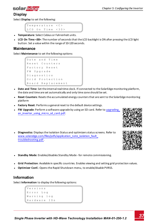

### **Display**

Select **Display** to set the following:

```
Temperature < C >
LCD On Time \langle 30 \rangle
```
- **Temperature**: Select Celsius or Fahrenheit units.
- <sup>l</sup> **LCD On Time <30>**: The number of seconds that the LCD backlight is ON after pressing the LCD light button. Set a value within the range of 10-120 seconds.

#### **Maintenance**

Select **Maintenance** to set the following options:

```
Date and Time
Reset Counters
Factory Reset
FW Upgrade
D i a g n o s t i c s 
Grid Protection
B o a r d R e p l a c e m e n t
```
- **Date and Time**: Set the internal real-time clock. If connected to the SolarEdge monitoring platform, the date and time are set automatically and only time zone should be set.
- **Reset Counters**: Resets the accumulated energy counters that are sent to the SolarEdge monitoring platform
- **Factory Reset:** Performs a general reset to the default device settings.
- **FW Upgrade**: Perform a software upgrade by using an SD card. Refer to upgrading [an\\_inverter\\_using\\_micro\\_sd\\_card.pdf](https://www.solaredge.com/sites/default/files/upgrading_an_inverter_using_micro_sd_card.pdf).



**Diagnostics**: Displays the Isolation Status and optimizers status screens. Refer to www.solaredge.com/files/pdfs/application\_note\_isolation\_fault [troubleshooting.pdf](http://www.solaredge.com/files/pdfs/application_note_isolation_fault_troubleshooting.pdf) .



- **Standby Mode**: Enables/disables Standby Mode for remote commissioning.
- Grid Protection: Available in specific countries. Enables viewing and setting grid protection values.
- **Optimizer Conf.**: Opens the Rapid Shutdown menu, to enable/disable PVRSS.

### **Information**

Select **Information** to display the following options:

```
V e r s i o n s
E r r o r L o g
W a r n i n g l o g 
H a r d w a r e I D s
```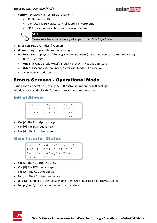

- **Versions**: Displays inverter firmware versions:
	- o **ID**: The inverter ID.
	- o **DSP 1/2**: The DSP digital control board firmware version
	- o **CPU**: The communication board firmware version



**NOTE** 

Please have these numbers ready when you contact SolarEdge Support.

- **Error Log**: Displays the last five errors.
- **Warning Log:** Displays the last five warnings.
- **Hardware IDs**: Displays the following HW serial numbers (if exist, and connected to the inverter):
	- o **ID**: the inverter's ID
	- o **RGM1** (Revenue Grade Meter): Energy Meter with Modbus Connection
	- o **RGM2**: A second external Energy Meter with Modbus Connection
	- o **ZB**: ZigBee MAC address

# <span id="page-38-0"></span>Status Screens - Operational Mode

During normal operation pressing the LCD buttons turns on the LCD backlight.

Additional presses display the following screens one after the other.

### Initial Status

```
Vac [ V ] V d c [ V ] P a c [ W ]
2 4 0 . 7 3 7 1 . 9 2 3 4 9 . 3
P O K : X X X / Y Y Y < S O K >
 \sim - \sim \sim \sim \sim \sim
```
- **Vac [V]:** The AC output voltage
- **Vdc [V]:** The DC input voltage
- **Pac [W]:** The AC output power

## Main Inverter Status

```
Vac [ V ] V d c [ V ] P a c [ W ]
2 4 0 . 7 3 7 1 . 9 3 2 1 0 . 0
Fac [Hz] OPs_Ok Temp
5 0 . 0 1 1 2 8 . 2
```
- **Vac [V]:** The AC output voltage.
- **Vdc [V]:** The DC input voltage.
- **Pac [W]:** The AC output power.
- **Fac [Hz]:** The AC output frequency.
- **.** OPs Ok: Number of optimizers sending telemetries (indicating that they are paired)
- **Temp [C or F]:** The inverter heat sink temperature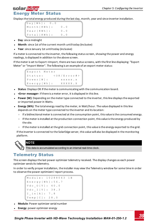### solar.adoe Energy Meter Status

Displays the total energy produced during the last day, month, year and since inverter installation.

```
M o n t h [ K W h ] : 0 . 0
Year [ K W h ] : 0 . 0
T \circ t a l [KWh]: 0.0Day [Wh]: 0.0
```
- **Day**: since midnight
- **Month**: since 1st of the current month until today (inclusive)
- **Year**: since January 1st until today (inclusive)

If a meter is connected to the inverter, the following status screen, showing the power and energy readings, is displayed in addition to the above screen.

If the meter is set to Export +Import, there are two status screens, with the first line displaying: "Export Meter" or "Import Meter". The following is an example of an export meter status:

```
Export Meter
Status: < OK / Error # >
Power [ W ] : x x x x x . x
Energy [Wh]: XXXXX.X
```
- **Status:** Displays OK if the meter is communicating with the communication board.
- **Error message>**: If there is a meter error, it is displayed in this line.
- **Power (W)**: Depending on the meter type connected to the inverter, this line displays the exported or imported power in Watts.
- <sup>l</sup> **Energy (Wh)**: The total energy read by the meter, in Watt/hour. The value displayed in this line depends on the meter type connected to the inverter and its location:
	- $\circ$  If a bidirectional meter is connected at the consumption point, this value is the consumed energy.
	- $\circ$  If the meter is installed at the production connection point, this value is the energy produced by the site.
	- $\circ$  If the meter is installed at the grid connection point, this value is the energy exported to the grid.

If the inverter is connected to the SolarEdge server, this value will also be displayed in the monitoring platform.



NOTE

This data is accumulated according to an internal real-time clock.

## Telemetry Status

This screen displays the last power optimizer telemetry received. The display changes as each power optimizer sends its telemetry.

In order to verify proper installation, the installer may view the Telemetry window for some time in order to observe the power optimizers' report process.

```
Module: 10288063 1B
E n e r g y [ W h ] : 5 6 . 7
V d c 0 [ V ] : 4 0 . 0
V d c I [ V ] : 3 8 . 3
I in [ A ] : 7 . 8
T e m p [ C ] : 2 8 . 0
```
- **Module**: Power optimizer serial number
- **Energy**: power optimizer energy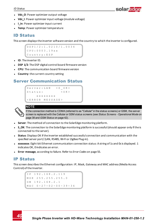

- **Vdc\_O**: Power optimizer output voltage
- **Vdc** I: Power optimizer input voltage (module voltage)
- **·** I in: Power optimizer input current
- **· Temp**: Power optimizer temperature

### ID Status

This screen displays the inverter software version and the country to which the inverter is configured.

D S P 1 / 2 : 1 . 0 2 1 0 / 1 . 0 0 3 4 C P U : 0 0 0 3 . 1 9 x x C o u n t r y : E S P

- **. ID**: The inverter ID.
- **.** DSP 1/2: The DSP digital control board firmware version
- **CPU:** The communication board firmware version
- **Country**: the current country setting

### Server Communication Status

```
Server:LAN <S OK>
Status: < OK >
    x x x x x x x x
< E R R O R M E S S A G E >
```


#### NOTE

If the connection method is CDMA (referred to as "Cellular" in the status screens) or GSM, the server screen is replaced with the Cellular or GSM status screens (see *[Status Screens - Operational Mode](#page-38-0)* [on](#page-38-0)  [page 38](#page-38-0) and *[GSM Status](#page-42-0)* [on page 42](#page-42-0)).

- **Server**: The method of connection to the SolarEdge monitoring platform.
- S OK: The connection to the SolarEdge monitoring platform is successful (should appear only if the is connected to the server).
- <sup>l</sup> **Status**: Displays OK if the inverter established successful connection and communication with the specified server port/ (LAN, RS485, Wi-Fi or ZigBee Plug-in).
- **xxxxxxxx**: Eight-bit Ethernet communication connection status: A string of 1s and 0s is displayed. 1 indicates OK, 0 indicates an error.
- <sup>l</sup> **Error message**, according to failure. Refer to *[Error Codes](#page-55-0)* [on page 55.](#page-55-0)

### IP Status

This screen describes the Ethernet configuration: IP, Mask, Gateway and MAC address (Media Access Control) of the Inverter.

```
I P 1 9 2 . 1 6 8 . 2 . 1 1 9
M S K 2 5 5 . 2 5 5 . 2 5 5 . 0
G W 1 9 2 . 1 6 8 . 2 . 1
M AC \quad 0 - 27 - 02 - 00 - 39 - 36
```
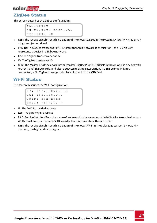## solar.edge

### ZigBee Status

This screen describes the ZigBee configuration:

```
P A N : X X X X X
C H : X X / X X X X R S S I : < L >
M I D : X X X X X X X
```
- **RSSI**: The receive signal strength indication of the closest ZigBee in the system. L = low, M = medium, H  $=$  high and  $(-)$  = no signal.
- **PAN ID**: The ZigBee transceiver PAN ID (Personal Area Network Identification), the ID uniquely represents a device in a Zigbee network.
- **Ch.**: The ZigBee transceiver channel
- **.** ID: The ZigBee transceiver ID
- **MID**: The Master ID of the coordinator (master) ZigBee Plug-in. This field is shown only in devices with router (slave) ZigBee cards, and after a successful ZigBee association. If a ZigBee Plug-in is not connected, a **No ZigBee** message is displayed instead of the **MID** field.

### Wi-Fi Status

This screen describes the Wi-Fi configuration:

```
I P : 1 9 2 . 1 6 8 . 2 . 1 1 9
G W : 1 9 2 . 1 6 8 . 2 . 1
S S T D : x x x x x x x x
R S S I : < L / M / H / - >
```
- **IP:** The DHCP provided address
- **GW**: The gateway IP address
- **SSID**: Service Set Identifier the name of a wireless local area network (WLAN). All wireless devices on a WLAN must employ the same SSID in order to communicate with each other.
- **RSSI**: The receive signal strength indication of the closest Wi-Fi in the SolarEdge system. L = low, M = medium, H = high and - = no signal.

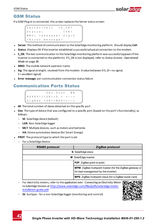### <span id="page-42-0"></span>GSM Status

If a GSM Plug-in is connected, this screen replaces the Server status screen:

```
Server: Cell <S OK>
S t a t u s : < O K >
MNO: \langlexxxxxx> Sig:5
< E r r o r m e s s a g e >
```
- <sup>l</sup> **Server**: The method of communication to the SolarEdge monitoring platform. Should display **Cell**.
- **Status**: Displays OK if the inverter established a successful physical connection to the modem.
- S OK: The last communication to the SolarEdge monitoring platform was successful (appears if the inverter is connected to the platform). If S\_OK is not displayed, refer to *[Status Screens - Operational](#page-38-0)  [Mode](#page-38-0)* [on page 38.](#page-38-0)
- **MNO**: The mobile network operator name
- **Sig**: The signal strength, received from the modem. A value between 0-5,  $(0 = no$  signal; 5 = excellent signal)
- **Error message**: per communication connection status failure

## Communication Ports Status

```
Dev Prot ##
R S 4 8 5 - 1 < S E > < S > < - - >
Z i \sigma B e e < S E > < M P S > < - - >
```
- <sup>l</sup> **##**: The total number of slaves detected on the specific port
- <sup>l</sup> **Dev**: The type of device that was configured to a specific port (based on the port's functionality), as follows:
	- o **SE**: SolarEdge device (default)
	- o **LGR**: Non-SolarEdge logger
	- o **MLT**: Multiple devices, such as meters and batteries
	- o **HA**: Home automation devices (for Smart Energy)
- **PROT:** The protocol type to which the port is set:
	- o For a SolarEdge device:

| RS485 protocol<br>ZigBee protocol |                                                                                                         |  |  |  |
|-----------------------------------|---------------------------------------------------------------------------------------------------------|--|--|--|
| S: SolarEdge slave                |                                                                                                         |  |  |  |
| M: SolarEdge master               |                                                                                                         |  |  |  |
|                                   | P2P: ZigBee point-to-point                                                                              |  |  |  |
|                                   | <b>MPM:</b> ZigBee multipoint master (for the ZigBee gateway or<br>for load management by the inverter) |  |  |  |
|                                   | MPS: ZigBee multipoint slave (for a ZigBee router card)                                                 |  |  |  |

- o For electricity meters, refer to the *application note Connecting an Electricity Meter to SolarEdge Devices* at [http://www.solaredge.com/files/pdfs/solaredge-meter](http://www.solaredge.com/files/pdfs/solaredge-meter-installation-guide.pdf)[installation-guide.pdf.](http://www.solaredge.com/files/pdfs/solaredge-meter-installation-guide.pdf)
- o **SS**: SunSpec for a non-SolarEdge logger (monitoring and control)



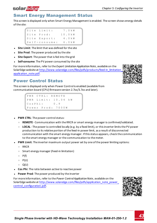#### *Chapter 5: Configuring the Inverter*

## Smart Energy Management Status

This screen is displayed only when Smart Energy Management is enabled. The screen shows energy details of the site:

```
S i t e Limit \cdot 7 . 0 k W
S i t e P r o d \cdot 10 0 k W
Site Export: 4.0kW
Self-consume: 6.0 kW
```
- **Site Limit:** The limit that was defined for the site
- **Site Prod**: The power produced by the site
- **Site Export:** The power that is fed into the grid
- **Self-consume**: The PV power consumed by the site

For more information, refer to the *Export Limitation Application Note*, available on the SolarEdge website at [http://www.solaredge.com/files/pdfs/products/feed-in\\_limitation\\_](http://www.solaredge.com/files/pdfs/products/feed-in_limitation_application_note.pdf) [application\\_note.pdf.](http://www.solaredge.com/files/pdfs/products/feed-in_limitation_application_note.pdf)

## Power Control Status

This screen is displayed only when Power Control is enabled (available from communication board (CPU) firmware version 2.7xx/3.7xx and later).

```
P W R C T R L : R E M O T E
P W R L i m i t : 10.04 k W
C o s P h i : 0 . 9
Power Prod: 7000W
```
- **PWR CTRL:** The power control status:
	- o **REMOTE** Communication with the RRCR or smart energy manager is confirmed/validated.
	- **LOCAL** The power is controlled locally (e.g. by a fixed limit), or this inverter limits the PV power production to its relative portion of the feed-in power limit, as a result of disconnected communication with the smart energy manager. If this status appears, check the communication to the smart energy manager or the communication to the meter.
- **PWR Limit:** The inverter maximum output power set by one of the power limiting options:
	- o RRCR
	- o Smart energy manager (Feed-in limitation)
	- $\circ$  P(f)
	- $o$  P(U)
	- $\circ$   $O(U)$
- **Cos Phi**: The ratio between active to reactive power
- **Power Prod**: The power produced by the inverter

For more information, refer to the *Power Control Application Note*, available on the SolarEdge website at http://www.solaredge.com/files/pdfs/application\_note\_power [control\\_configuration.pdf](http://www.solaredge.com/files/pdfs/application_note_power_control_configuration.pdf).







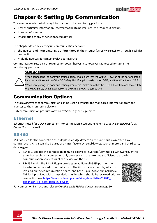

# Chapter 6: Setting Up Communication

The inverter sends the following information to the monitoring platform:

- Power optimizer information received via the DC power lines (the PV output circuit)
- <sup>l</sup> Inverter information
- Information of any other connected devices

This chapter describes setting up communication between:

- <sup>l</sup> the inverter and the monitoring platform through the Internet (wired/ wireless), or through a cellular connection
- **•** multiple inverters for a master/slave configuration

Communication setup is not required for power harvesting, however it is needed for using the monitoring platform.

#### CAUTION!

When connecting the communication cables, make sure that the ON/OFF switch at the bottom of the inverter (and the switch of the DC Safety Unit if applicable) is turned OFF, and the AC is turned OFF.

When configuring the communication parameters, make sure that the ON/OFF switch (and the switch of the DC Safety Unit if applicable) is OFF, and the AC is turned ON.

# Communication Options

The following types of communication can be used to transfer the monitored information from the inverter to the monitoring platform.

Only communication products offered by SolarEdge are supported.

### Ethernet

Ethernet is used for a LAN connection. For connection instructions refer to *[Creating an Ethernet \(LAN\)](#page-47-0)  [Connection](#page-47-0)* [on page 47](#page-47-0).

### RS485

RS485 is used for the connection of multiple SolarEdge devices on the same bus in a master-slave configuration. RS485 can also be used as an interface to external devices, such as meters and third party data loggers.

- RS485-1: Enables the connection of multiple devices (inverters/Commercial Gateway) over the same bus, such that connecting only one device to the Internet is sufficient to provide communication services for all the devices on the bus.
- RS485 Plug-in: The RS485 Plug-in provides an additional RS485 port for the inverter for enhanced communications. The kit contains a module, which is installed on the communication board, and has a 3-pin RS485 terminal block. This kit is provided with an installation guide, which should be reviewed prior to connection see,  [https://www.solaredge.com/sites/default/files/RS485\\_](https://www.solaredge.com/sites/default/files/RS485_expansion_kit_installation_guide.pdf) [expansion\\_kit\\_installation\\_guide.pdf](https://www.solaredge.com/sites/default/files/RS485_expansion_kit_installation_guide.pdf)



For connection instructions refer to *[Creating an RS485 Bus Connection](#page-50-0)* [on page 50](#page-50-0).

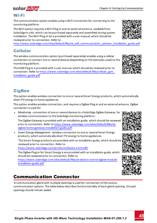# Wi-Fi

solar.adoe

This communication option enables using a Wi-Fi connection for connecting to the monitoring platform.

The Wi-Fi option requires a Wi-Fi Plug-in and an external antenna, available from SolarEdge in a kit, which can be purchased separately and assembled during system installation. The Wi-Fi Plug-in kit is provided with a user manual, which should be reviewed prior to connection. Refer to

[http://www.solaredge.com/sites/default/files/se\\_wifi\\_communication\\_solution\\_installation\\_guide.pdf](http://www.solaredge.com/sites/default/files/se_wifi_communication_solution_installation_guide.pdf)

# Cellular

This wireless communication option (purchased separately) enables using a cellular connection to connect one or several devices (depending on the data plan used) to the monitoring platform.

The GSM Plug-in is provided with a user manual, which should be reviewed prior to connection. Refer to [https://www.solaredge.com/sites/default/files/cellular\\_gsm\\_](https://www.solaredge.com/sites/default/files/cellular_gsm_installation_guide.pdf) [installation\\_guide.pdf](https://www.solaredge.com/sites/default/files/cellular_gsm_installation_guide.pdf)

# **ZigBee**

This option enables wireless connection to one or several Smart Energy products, which automatically divert PV energy to home appliances.

This option enables wireless connection, and requires a ZigBee Plug-in and an external antenna. ZigBee connection is used for:

<sup>l</sup> *Monitoring* - connection of one or several devices to a SolarEdge ZigBee Gateway, for wireless communication to the SolarEdge monitoring platform.

The ZigBee Gateway is provided with an installation guide, which should be reviewed prior to connection. Refer to [https://www.solaredge.com/sites/default/files/se](https://www.solaredge.com/sites/default/files/se-zigbee-home-gateway-installation-guide.pdf)[zigbee-home-gateway-installation-guide.pdf](https://www.solaredge.com/sites/default/files/se-zigbee-home-gateway-installation-guide.pdf).

<sup>l</sup> *Smart Energy Management* - wireless connection to one or several Smart Energy products, which automatically divert PV energy to home appliances.

 The Smart Energy products are provided with an installation guide, which should be reviewed prior to connection. Refer to

[https://www.solaredge.com/products/device-control#/.](https://www.solaredge.com/products/device-control#/)

The ZigBee Plug-in for Smart Energy is are provided with an installation guide, which should be reviewed prior to connection. Refer to

[https://www.solaredge.com/sites/default/files/se-device-control-zigbee-module](http://www.solaredge.com/sites/default/files/se-zigbee-kit-wireless-communication-datasheet-na.pdf)[installation-guide.pdf](http://www.solaredge.com/sites/default/files/se-zigbee-kit-wireless-communication-datasheet-na.pdf)

# Communication Connector

 A communication gland with multiple openings is used for connection of the various communication options. The table below describes the functionality of each gland opening. Unused openings should remain sealed.









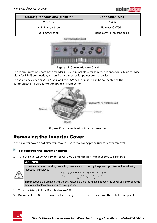

| Opening for cable size (diameter) | <b>Connection type</b>        |  |  |  |
|-----------------------------------|-------------------------------|--|--|--|
| $2.5 - 5$ mm                      | RS485                         |  |  |  |
| $4.5 - 7$ mm, with cut            | Ethernet (CAT5/6)             |  |  |  |
| 2 - 4 mm, with cut                | ZigBee or Wi-Fi antenna cable |  |  |  |

Communication pland



#### **Figure 14: Communication Gland**

The communication board has a standard RJ45 terminal block for Ethernet connection, a 6-pin terminal block for RS485 connection, and an 8-pin connector for power control devices.

The SolarEdge ZigBee or Wi-Fi Plug-in and the GSM cellular plug-in can be connected to the communication board for optional wireless connection.



**Figure 15: Communication board connectors**

## <span id="page-46-0"></span>Removing the Inverter Cover

If the inverter cover is not already removed, use the following procedure for cover removal.

#### To remove the inverter cover

1. Turn the inverter ON/OFF switch to OFF. Wait 5 minutes for the capacitors to discharge.

#### WARNING!

If the inverter was operating properly (power was produced by the power optimizers), the following message is displayed.



DC VOLTAGE NOT SAFE DO NOT DISCONNECT<br>VDC: 72.0 V D C :

This message is displayed until the DC voltage is safe (50V). Do not open the cover until the voltage is safe or until at least five minutes have passed.

- 2. Turn the Safety Switch (if applicable) to OFF.
- 3. Disconnect the AC to the inverter by turning OFF the circuit breakers on the distribution panel.

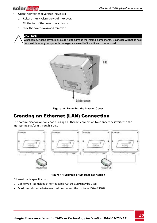# solar.adoe

- 4. Open the inverter cover (see *[Figure 16](#page-47-1)*):
	- a. Release the six Allen screws of the cover.
	- b. Tilt the top of the cover towards you.
	- c. Slide the cover down and remove it.



#### CAUTION!

When removing the cover, make sure not to damage the internal components. SolarEdge will not be held responsible for any components damaged as a result of incautious cover removal.





# <span id="page-47-1"></span><span id="page-47-0"></span>Creating an Ethernet (LAN) Connection

This communication option enables using an Ethernet connection to connect the inverter to the monitoring platform through a LAN.



**Figure 17: Example of Ethernet connection**

Ethernet cable specifications:

- <sup>l</sup> Cable type a shielded Ethernet cable (Cat5/5E STP) may be used
- <sup>l</sup> Maximum distance between the inverter and the router 100 m/ 330 ft.

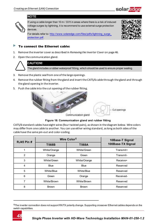

#### NOTE



If using a cable longer than 10 m / 33 ft in areas where there is a risk of induced voltage surges by lightning, it is recommend to use external surge protection devices.

For details refer to: [http://www.solaredge.com/files/pdfs/lightning\\_surge\\_](http://www.solaredge.com/files/pdfs/lightning_surge_protection.pdf) [protection.pdf](http://www.solaredge.com/files/pdfs/lightning_surge_protection.pdf).



#### To connect the Ethernet cable:

- 1. Remove the inverter cover as described in *[Removing the Inverter Cover](#page-46-0)* [on page 46](#page-46-0).
- 2. Open the communication gland.



### CAUTION!

The gland includes a rubber waterproof fitting, which should be used to ensure proper sealing.

- 3. Remove the plastic seal from one of the large openings.
- 4. Remove the rubber fitting from the gland and insert the CAT5/6 cable through the gland and through the gland opening in the inverter.
- 5. Push the cable into the cut opening of the rubber fitting.



Communication gland

**Figure 18: Communication gland and rubber fitting**

CAT5/6 standard cables have eight wires (four twisted pairs), as shown in the diagram below. Wire colors may differ from one cable to another. You can use either wiring standard, as long as both sides of the cable have the same pin-out and color-coding.

| <b>RJ45 Pin #</b> | Wire Color <sup>1</sup> | 10Base-T Signal |                   |  |
|-------------------|-------------------------|-----------------|-------------------|--|
|                   | T568B                   | T568A           | 100Base-TX Signal |  |
|                   | White/Orange            | White/Green     | Transmit+         |  |
| 2                 | Orange                  | Green           | Transmit-         |  |
| 3                 | White/Green             | White/Orange    | Receive+          |  |
| 4                 | <b>Blue</b>             | <b>Blue</b>     | Reserved          |  |
| 5                 | White/Blue              | White/Blue      | Reserved          |  |
| 6                 | Green                   | Orange          | Received-         |  |
| 7                 | White/Brown             | White/Brown     | Reserved          |  |
| 8                 | <b>Brown</b>            | <b>Brown</b>    | Reserved          |  |

**1**The inverter connection does not support RX/TX polarity change. Supporting crossover Ethernet cables depends on the switch capabilities.

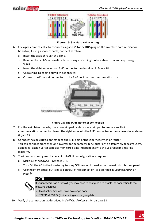



#### **Figure 19: Standard cable wiring**

- <span id="page-49-0"></span>6. Use a pre-crimped cable to connect via gland #1 to the RJ45 plug on the inverter's communication board or, if using a spool of cable, connect as follows:
	- a. Insert the cable through the gland.
	- b. Remove the cable's external insulation using a crimping tool or cable cutter and expose eight wires.
	- c. Insert the eight wires into an RJ45 connector, as described in *[Figure 19](#page-49-0)*
	- d. Use a crimping tool to crimp the connector.
	- e. Connect the Ethernet connector to the RJ45 port on the communication board.



#### **Figure 20: The RJ45 Ethernet connection**

- 7. For the switch/router side, use a pre-crimped cable or use a crimper to prepare an RJ45 communication connector: Insert the eight wires into the RJ45 connector in the same order as above (*[Figure 19](#page-49-0)*).
- 8. Connect the cable RJ45 connector to the RJ45 port of the Ethernet switch or router. You can connect more than one inverter to the same switch/router or to different switches/routers, as needed. Each inverter sends its monitored data independently to the SolarEdge monitoring platform.
- 9. The inverter is configured by default to LAN. If reconfiguration is required:
	- a. Make sure the ON/OFF switch is OFF.
	- b. Turn ON the AC to the inverter by turning ON the circuit breaker on the main distribution panel.
	- c. Use the internal user buttons to configure the connection, as described in *[Communication](#page-34-0)* [on](#page-34-0)  [page 34](#page-34-0).

#### NOTE

If your network has a firewall, you may need to configure it to enable the connection to the following address:

- Destination Address: prod.solaredge.com
- TCP Port: 22222 (for incoming and outgoing data)
- 10. Verify the connection, as described in *[Verifying the Connection](#page-53-0)* [on page 53.](#page-53-0)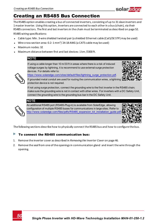# <span id="page-50-0"></span>Creating an RS485 Bus Connection

The RS485 option enables creating a bus of connected inverters, consisting of up to 31 slave inverters and 1 master inverter. Using this option, inverters are connected to each other in a bus (chain), via their RS485 connectors. The first and last inverters in the chain must be terminated as described on page [52](#page-52-0). RS485 wiring specifications:

<sup>l</sup> Cable type: Min. 3-wire shielded twisted pair (a shielded Ethernet cable (Cat5/5E STP) may be used)

- <sup>l</sup> Wire cross-section area: 0.2- 1 mm²/ 24-18 AWG (a CAT5 cable may be used)
- <sup>l</sup> Maximum nodes: 32
- <sup>l</sup> Maximum distance between first and last devices: 1 km /3300 ft.

### NOTE

If using a cable longer than 10 m/33 ft in areas where there is a risk of induced voltage surges by lightning, it is recommend to use external surge protection devices. For details refer to:



solara

[https://www.solaredge.com/sites/default/files/lightning\\_surge\\_protection.pdf](https://www.solaredge.com/sites/default/files/lightning_surge_protection.pdf).

If grounded metal conduit are used for routing the communication wires, a lightning protection device is not required.

If not using surge protection, connect the grounding wire to the first inverter in the RS485 chain; make sure the grounding wire is not in contact with other wires. For inverters with a DC Safety Unit, connect the grounding wire to the grounding bus-bar in the DC Safety Unit.



#### **NOTE**

An additional RS485 port (RS485-Plug-in) is available from SolarEdge, allowing configuration of multiple RS485 buses for communications in large sites; Refer to [http://www.solaredge.com/files/pdfs/RS485\\_expansion\\_kit\\_installation\\_guide.pdf](http://www.solaredge.com/files/pdfs/RS485_expansion_kit_installation_guide.pdf)



The following sections describe how to physically connect the RS485 bus and how to configure the bus.

#### Þ To connect the RS485 communication bus:

- 1. Remove the inverter cover as described in *[Removing the Inverter Cover](#page-46-0)* [on page 46](#page-46-0).
- 2. Remove the seal from one of the openings in communication gland and insert the wire through the opening.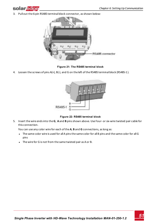

3. Pull out the 6-pin RS485 terminal block connector, as shown below:



**Figure 21: The RS485 terminal block**

4. Loosen the screws of pins A(+), B(-), and G on the left of the RS485 terminal block (RS485-1 ).



**Figure 22: RS485 terminal block**

5. Insert the wire ends into the **G**, **A** and **B** pins shown above. Use Four- or six-wire twisted pair cable for this connection.

You can use any color wire for each of the **A**, **B** and **G** connections, as long as:

- The same color wire is used for all A pins the same color for all B pins and the same color for all G pins
- The wire for G is not from the same twisted pair as A or B.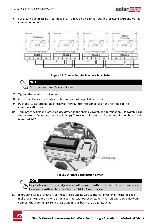6. For creating an RS485 bus - connect all B, A and G pins in all inverters. The following figure shows this connection schema:

solaredge





NOTE Do not cross-connect B, A and G wires.

- 7. Tighten the terminal block screws.
- <span id="page-52-0"></span>8. Check that the wires are fully inserted and cannot be pulled out easily.
- 9. Push the RS485 terminal block firmly all the way into the connector on the right side of the communication board.
- 10. Terminate the first and last SolarEdge device in the chain by switching a termination DIP-switch inside the inverter to ON (move the left switch up). The switch is located on the communication board and is marked SW2.



**Figure 24: RS485 termination switch**



Only the first and last SolarEdge devices in the chain should be terminated. The other inverters in the chain should have the termination switch OFF (down position).

11. If not using surge protection, connect the grounding wire to the first inverter in the RS485 chain; make sure the grounding wire is not in contact with other wires. For inverters with a DC Safety Unit, connect the grounding wire to the grounding bus-bar in the DC Safety Unit.

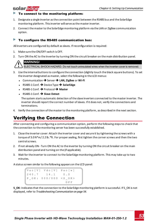#### To connect to the monitoring platform:

- 1. Designate a single inverter as the connection point between the RS485 bus and the SolarEdge monitoring platform. This inverter will serve as the master inverter.
- 2. Connect the master to the SolarEdge monitoring platform via the LAN or ZigBee communication option.

#### To configure the RS485 communication bus:

All inverters are configured by default as slaves. If reconfiguration is required:

- 1. Make sure the ON/OFF switch is OFF.
- 2. Turn ON the AC to the inverter by turning ON the circuit breaker on the main distribution panel.

### WARNING!

solar.adde

ELECTRICAL SHOCK HAZARD. Do not touch uninsulated wires when the inverter cover is removed.

- 3. Use the internal buttons to configure the connection (slightly touch the black square buttons). To set the inverter designated as master, select the following in the LCD menus:
	- **↓** Communication → Server → LAN, ZigBee or Wi-Fi
	- **•** RS485-1 Conf. → Device Type → SolarEdge
	- <sup>l</sup> RS485-1 Conf. è Protocol è **Master**
	- $\cdot$  RS485-1 Conf.  $\rightarrow$  Slave Detect

The system starts automatic detection of the slave inverters connected to the master inverter. The inverter should report the correct number of slaves. If it does not, verify the connections and terminations.

<span id="page-53-0"></span>4. Verify the connection of the master to the monitoring platform, as described in the next section.

# Verifying the Connection

After connecting and configuring a communication option, perform the following steps to check that the connection to the monitoring server has been successfully established.

- 1. Close the inverter cover: Attach the inverter cover and secure it by tightening the screws with a torque of 3.0 N\*m/ 2.2 lb.\*ft. For proper sealing, first tighten the corner screws and then the two central screws.
- 2. If not already ON Turn ON the AC to the inverter by turning ON the circuit breaker on the main distribution panel and turning on the (if applicable).
- 3. Wait for the inverter to connect to the SolarEdge monitoring platform. This may take up to two minutes.

A status screen similar to the following appears on the LCD panel:

Vac [ V ] V d c [ V ] P a c [ w ]  $240.7$   $14.1$  0.0 P OK: 000/000 <S OK>  $O F F$ 

**S\_OK**: Indicates that the connection to the SolarEdge monitoring platform is successful. If S\_OK is not displayed, refer to *[Troubleshooting Communication on page 54](#page-54-0).*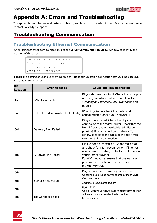

# Appendix A: Errors and Troubleshooting

<span id="page-54-0"></span>This appendix describes general system problems, and how to troubleshoot them. For further assistance, contact SolarEdge Support.

# Troubleshooting Communication

## Troubleshooting Ethernet Communication

When using Ethernet communication, use the **Server Communication Status** window to identify the location of the error:

```
Server:LAN <S_OK>
Status: < OK>
           \begin{array}{l} \mathtt{x} \ \mathtt{x} \ \mathtt{x} \ \mathtt{x} \ \mathtt{x} \ \mathtt{x} \ \mathtt{x} \ \mathtt{x} \ \mathtt{x} \end{array}< E R R O R M E S S A G E >
```
**xxxxxxxx** is a string of 1s and 0s showing an eight-bit communication connection status. 1 indicates OK and 0 indicates an error.

| <b>Bit</b><br>Location | <b>Error Message</b>                | <b>Cause and Troubleshooting</b>                                                                                                                                                                                                                                                             |
|------------------------|-------------------------------------|----------------------------------------------------------------------------------------------------------------------------------------------------------------------------------------------------------------------------------------------------------------------------------------------|
| 1st                    | <b>LAN Disconnected</b>             | Physical connection fault. Check the cable pin-<br>out assignment and cable connection. Refer to<br>Creating an Ethernet (LAN) Connection on<br>page 47                                                                                                                                      |
| 2nd                    | DHCP Failed, or Invalid DHCP Config | IP settings issue. Check the router and<br>configuration. Consult your network IT.                                                                                                                                                                                                           |
| 3rd                    | Gateway Ping Failed                 | Ping to router failed. Check the physical<br>connection to the switch/router. Check that the<br>link LED at the router/switch is lit (indicating<br>phy-link). If OK - contact your network IT,<br>otherwise replace the cable or change it from<br>cross to straight connection.            |
| 4th                    | G Server Ping Failed                | Ping to google.com failed. Connect a laptop<br>and check for internet connection. If internet<br>access is unavailable, contact your IT admin or<br>your internet provider.<br>For Wi-Finetworks, ensure that username and<br>password are as defined in the internet<br>provider AP/router. |
| 5th                    |                                     | Ping or connection to SolarEdge server failed.<br>Check the SolarEdge server address, under LAN                                                                                                                                                                                              |
| 6th                    | Server x Ping Failed                | Confsubmenu:<br>Address: prod.solaredge.com                                                                                                                                                                                                                                                  |
| 7th                    |                                     | Port: 22222<br>Check with your network administrator whether                                                                                                                                                                                                                                 |
| 8th                    | <b>Tcp Connect. Failed</b>          | a firewall or another device is blocking<br>transmission.                                                                                                                                                                                                                                    |

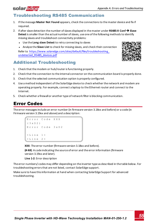# Troubleshooting RS485 Communication

- 1. If the message **Master Not Found** appears, check the connections to the master device and fix if required.
- 2. If after slave detection the number of slaves displayed in the master under **RS485-X Conf**è**Slave Detect** is smaller than the actual number of slaves, use one of the following methods to identify missing slaves and troubleshoot connectivity problems:
	- **.** Use the **Long slave Detect** to retry connecting to slaves
	- **.** Analyze the **Slave List** to check for missing slaves, and check their connection

Refer to [https://www.solaredge.com/sites/default/files/troubleshooting\\_](https://www.solaredge.com/sites/default/files/troubleshooting_undetected_RS485_devices.pdf) [undetected\\_RS485\\_devices.pdf](https://www.solaredge.com/sites/default/files/troubleshooting_undetected_RS485_devices.pdf)

## Additional Troubleshooting

- 1. Check that the modem or hub/router is functioning properly.
- 2. Check that the connection to the internal connector on the communication board is properly done.
- 3. Check that the selected communication option is properly configured.
- 4. Use a method independent of the SolarEdge device to check whether the network and modem are operating properly. For example, connect a laptop to the Ethernet router and connect to the Internet.
- <span id="page-55-0"></span>5. Check whether a firewall or another type of network filter is blocking communication.

# Error Codes

The error messages include an error number (in firmware version 3.18xx and before) or a code (in Firmware version 3.19xx and above) and a description:

```
Error Code XXX
( 3 x D 2 )
Error Code 3xD2
< L i n e 1 >
< L i n e 2 >
```
**XXX**: The error number (firmware version 3.18xx and before).

**(#-X#)**: A code indicating the source of error and the error information (firmware version 3.19xx and later).

**Line 1-2**: Error description

The error numbers/ codes may differ depending on the inverter type as described in the table below. For troubleshooting errors that are not listed, contact SolarEdge support.

Make sure to have this information at hand when contacting SolarEdge Support for advanced troubleshooting.



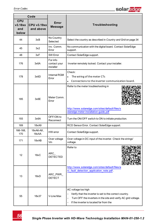

|                                       | Code                            |                                       |                                                                                                                                                                                                                              |  |  |  |  |
|---------------------------------------|---------------------------------|---------------------------------------|------------------------------------------------------------------------------------------------------------------------------------------------------------------------------------------------------------------------------|--|--|--|--|
| <b>CPU</b><br>v3.18xx<br>and<br>below | <b>CPU v3.19xx</b><br>and above | Error<br>Message                      | Troubleshooting                                                                                                                                                                                                              |  |  |  |  |
| 44                                    | 3xB                             | No Country<br>Selected                | Select the country as described in Country and Grid on page 34                                                                                                                                                               |  |  |  |  |
| 45                                    | 3x2                             | Inv. Comm.<br>Error                   | No communication with the digital board. Contact SolarEdge<br>support.                                                                                                                                                       |  |  |  |  |
| 48                                    | 3xF                             | SW Error                              | Contact SolarEdge support.                                                                                                                                                                                                   |  |  |  |  |
| 176                                   | 3x6A                            | For info<br>contact your<br>installer | Inverter remotely locked. Contact your installer.                                                                                                                                                                            |  |  |  |  |
| 178                                   | 3x6D                            | <b>Internal RGM</b><br>Error          | Check:<br>The wiring of the meter CTs<br>$\bullet$<br>Connections to the inverter communication board.<br>$\bullet$                                                                                                          |  |  |  |  |
| 185                                   | 3x6E                            | Meter Comm.<br>Error                  | Refer to the meter troubleshooting in<br>http://www.solaredge.com/sites/default/files/s<br>olaredge-meter-installation-guide.pdf                                                                                             |  |  |  |  |
| 193                                   | 3x6A                            | OFF/ON to<br>Reconnect                | Turn the ON/OFF switch to ON to initiate production.                                                                                                                                                                         |  |  |  |  |
| 169                                   | 18xA9                           |                                       | RCD Sensor Error. Contact SolarEdge support.                                                                                                                                                                                 |  |  |  |  |
| 166-168,<br>170                       | 18xA6-A8,<br>18xAA              | HW error                              | Contact SolarEdge support.                                                                                                                                                                                                   |  |  |  |  |
| 171                                   | 18xAB                           | Over voltage<br>Vin                   | Over voltage in DC input of the inverter. Check the strings'<br>voltage.                                                                                                                                                     |  |  |  |  |
| 12                                    | 18xC                            | ARC<br><b>DETECTED</b>                | Refer to                                                                                                                                                                                                                     |  |  |  |  |
| 13                                    | 18xD                            | ARC_PWR_<br><b>DETECT</b>             | http://www.solaredge.com/sites/default/files/a<br>rc_fault_detection_application_note.pdf.                                                                                                                                   |  |  |  |  |
| 55                                    | 18x37                           | V-Line Max                            | AC voltage too high<br>Verify that the inverter is set to the correct country.<br>$\circ$<br>Turn OFF the inverters in the site and verify AC grid voltage.<br>$\circ$<br>If the inverter is located far from the<br>$\circ$ |  |  |  |  |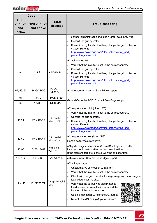

|                                       | Code                            |                         |                                                                                                                                                                                                                                                                                                                                                                                                                                                                       |  |  |  |  |  |
|---------------------------------------|---------------------------------|-------------------------|-----------------------------------------------------------------------------------------------------------------------------------------------------------------------------------------------------------------------------------------------------------------------------------------------------------------------------------------------------------------------------------------------------------------------------------------------------------------------|--|--|--|--|--|
| <b>CPU</b><br>v3.18xx<br>and<br>below | <b>CPU v3.19xx</b><br>and above | Error<br><b>Message</b> | Troubleshooting                                                                                                                                                                                                                                                                                                                                                                                                                                                       |  |  |  |  |  |
|                                       |                                 |                         | connection point to the grid, use a larger gauge AC wire.<br>Consult the grid operator.<br>$\circ$<br>If permitted by local authorities, change the grid protection<br>$\circ$<br>values. Refer to<br>http://www.solaredge.com/files/pdfs/viewing_grid<br>protection_values.pdf                                                                                                                                                                                       |  |  |  |  |  |
| 56                                    | 18x38                           | V-Line Min              | AC voltage too low<br>Verify that the inverter is set to the correct country.<br>$\circ$<br>Consult the grid operator.<br>$\circ$<br>If permitted by local authorities, change the grid protection<br>$\circ$<br>values. Refer to<br>http://www.solaredge.com/files/pdfs/viewing_grid<br>protection values.pdf                                                                                                                                                        |  |  |  |  |  |
| 57, 59, 60                            | 18x39/3B/3C                     | I-ACDC<br>L1/L2/L3      | AC overcurrent. Contact SolarEdge support.                                                                                                                                                                                                                                                                                                                                                                                                                            |  |  |  |  |  |
| 61                                    | 18x3D                           | <b>I-RCD STEP</b>       |                                                                                                                                                                                                                                                                                                                                                                                                                                                                       |  |  |  |  |  |
| 62                                    | 18x3E                           | <b>I-RCD MAX</b>        | Ground Current - RCD. Contact SolarEdge support.                                                                                                                                                                                                                                                                                                                                                                                                                      |  |  |  |  |  |
| 64-66                                 | 18x40-59/A-F                    | F-L1/L2/L3<br>Max 1/2/3 | AC frequency too high (Line 1/2/3)<br>Verify that the inverter is set to the correct country.<br>$\circ$<br>• Consult the grid operator.<br>If permitted by local authorities, change the grid protection<br>$\circ$<br>values. Refer to<br>http://www.solaredge.com/files/pdfs/viewing_grid<br>protection_values.pdf                                                                                                                                                 |  |  |  |  |  |
| 67-69                                 | 18x40-59/A-F                    | F-L1/L2/L3<br>Min 1/2/3 | AC frequency too low (Line 1/2/3)<br>Handle as for the error above.                                                                                                                                                                                                                                                                                                                                                                                                   |  |  |  |  |  |
| 96,98                                 | 18x60/18x62                     | Islanding<br>Trip1/2    | AC grid voltage malfunction. When AC voltage returns the<br>inverter should restart after the reconnection time.<br>If the problem persists, consult with the grid operator.                                                                                                                                                                                                                                                                                          |  |  |  |  |  |
| 100-102                               | 18x64-66                        | <b>TZ L1/L2/L3</b>      | AC overcurrent. Contact SolarEdge support.                                                                                                                                                                                                                                                                                                                                                                                                                            |  |  |  |  |  |
| 111-113                               | 18x6F/70/71                     | Vsrg L1/L2/L3<br>Max    | AC voltage surge.<br>• Check the AC connection to inverter.<br>Verify that the inverter is set to the correct country.<br>$\circ$<br>Check with the grid operator if a large surge source or irregular<br>load exists near the site.<br>Verify that the output wire size matches<br>the distance between the inverter and the<br>location of the grid connection.<br>Use a larger gauge wire for the AC output.<br>$\circ$<br>Refer to the AC Wiring Application Note |  |  |  |  |  |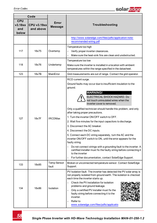|                                       | Code                            |                             |                                                                                                                                                                                                                                                                                                                                                                                                                                                                                                                                                                                                                                                                                                                                                                                                                                                                                                |  |  |  |  |  |
|---------------------------------------|---------------------------------|-----------------------------|------------------------------------------------------------------------------------------------------------------------------------------------------------------------------------------------------------------------------------------------------------------------------------------------------------------------------------------------------------------------------------------------------------------------------------------------------------------------------------------------------------------------------------------------------------------------------------------------------------------------------------------------------------------------------------------------------------------------------------------------------------------------------------------------------------------------------------------------------------------------------------------------|--|--|--|--|--|
| <b>CPU</b><br>v3.18xx<br>and<br>below | <b>CPU v3.19xx</b><br>and above | Error<br>Message            | Troubleshooting                                                                                                                                                                                                                                                                                                                                                                                                                                                                                                                                                                                                                                                                                                                                                                                                                                                                                |  |  |  |  |  |
|                                       |                                 |                             | http://www.solaredge.com/files/pdfs/application-note-<br>recommended-wiring.pdf                                                                                                                                                                                                                                                                                                                                                                                                                                                                                                                                                                                                                                                                                                                                                                                                                |  |  |  |  |  |
| 117                                   | 18x75                           | Overtemp                    | Temperature too high<br>Verify proper inverter clearances.<br>$\circ$<br>Make sure the heat-sink fins are clean and unobstructed.<br>$\circ$                                                                                                                                                                                                                                                                                                                                                                                                                                                                                                                                                                                                                                                                                                                                                   |  |  |  |  |  |
| 118                                   | 18x76                           | Undertemp                   | Temperature too low<br>Make sure the inverter is installed in a location with ambient<br>temperatures within the range specified in the datasheet.                                                                                                                                                                                                                                                                                                                                                                                                                                                                                                                                                                                                                                                                                                                                             |  |  |  |  |  |
| 123                                   | 18x7B                           | MainError                   | Grid measurements are out of range. Contact the grid operator.                                                                                                                                                                                                                                                                                                                                                                                                                                                                                                                                                                                                                                                                                                                                                                                                                                 |  |  |  |  |  |
| 127                                   | 18x7F                           | <b>IRCDMax</b>              | RCD current surge.<br>Ground faults may occur due to insufficient insulation to the<br>ground.<br><b>WARNING!</b><br>ELECTRICAL SHOCK HAZARD. Do<br>not touch uninsulated wires when the<br>inverter cover is removed.<br>Only a qualified technician should handle this problem, and only<br>after taking proper precautions.<br>1. Turn the inverter ON/OFF switch to OFF.<br>2. Wait five minutes for the input capacitors to discharge.<br>3. Disconnect the AC breaker.<br>4. Disconnect the DC inputs.<br>5. Connect each DC string separately, turn the AC and the<br>inverter ON/OFF switch to ON, until the error appears for the<br>faulty string.<br>Do not connect strings with a grounding fault to the inverter. A<br>$\circ$<br>certified installer must fix the faulty string before connecting it<br>to the inverter<br>For further documentation, contact SolarEdge Support. |  |  |  |  |  |
| 133                                   | 18x85                           | <b>Temp Sensor</b><br>fault | Broken or unconnected temperature sensor. Contact SolarEdge<br>Support.                                                                                                                                                                                                                                                                                                                                                                                                                                                                                                                                                                                                                                                                                                                                                                                                                        |  |  |  |  |  |
| 134                                   | 18x86                           | Isolation                   | PV Isolation fault. The inverter has detected the PV solar array is<br>not properly isolated from ground earth. The isolation is checked<br>each time the inverter starts up.<br>Check the PV installation for isolation<br>$\circ$<br>problems and ground leakage.<br>o Only a certified PV installer must fix the<br>faulty string before connecting it to the<br>inverter.<br>Refer to<br>$\sigma$<br>www.solaredge.com/files/pdfs/applicatio                                                                                                                                                                                                                                                                                                                                                                                                                                               |  |  |  |  |  |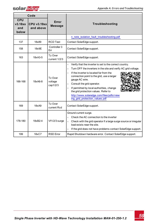

|                                       | Code                            |                                |                                                                                                                                                                                                                                                                                                                                                                                                                                                                                              |  |  |  |  |  |
|---------------------------------------|---------------------------------|--------------------------------|----------------------------------------------------------------------------------------------------------------------------------------------------------------------------------------------------------------------------------------------------------------------------------------------------------------------------------------------------------------------------------------------------------------------------------------------------------------------------------------------|--|--|--|--|--|
| <b>CPU</b><br>v3.18xx<br>and<br>below | <b>CPU v3.19xx</b><br>and above | Error<br><b>Message</b>        | Troubleshooting                                                                                                                                                                                                                                                                                                                                                                                                                                                                              |  |  |  |  |  |
|                                       |                                 |                                | n_note_isolation_fault_troubleshooting.pdf                                                                                                                                                                                                                                                                                                                                                                                                                                                   |  |  |  |  |  |
| 137                                   | 18x89                           | <b>RCD Test</b>                | Contact SolarEdge support.                                                                                                                                                                                                                                                                                                                                                                                                                                                                   |  |  |  |  |  |
| 158                                   | 18x9E                           | Controller 3<br>Err            | Contact SolarEdge support.                                                                                                                                                                                                                                                                                                                                                                                                                                                                   |  |  |  |  |  |
| 163                                   | 18xA3-5                         | Tz Over<br>current 1/2/3       | Contact SolarEdge support.                                                                                                                                                                                                                                                                                                                                                                                                                                                                   |  |  |  |  |  |
| 166-168                               | 18xA6-8                         | Tz Over<br>voltage<br>cap1/2/3 | Verify that the inverter is set to the correct country.<br>$\circ$<br>Turn OFF the inverters in the site and verify AC grid voltage.<br>$\circ$<br>If the inverter is located far from the<br>$\circ$<br>connection point to the grid, use a larger<br>gauge AC wire.<br>Consult the grid operator.<br>$\circ$<br>If permitted by local authorities, change<br>$\circ$<br>the grid protection values. Refer to<br>http://www.solaredge.com/files/pdfs/view<br>ing grid protection values.pdf |  |  |  |  |  |
| 169                                   | 18xA9                           | Tz Over<br>current Rcd         | Contact SolarEdge support.                                                                                                                                                                                                                                                                                                                                                                                                                                                                   |  |  |  |  |  |
| 178-180                               | 18xB2-4                         | Vf1/2/3 surge                  | Ground current surge.<br>Check the AC connection to the inverter<br>$\circ$<br>Check with the grid operator if a large surge source or irregular<br>load exists near the site.<br>If the grid does not have problems contact SolarEdge support.<br>$\circ$                                                                                                                                                                                                                                   |  |  |  |  |  |
| 199                                   | 18xC7                           | <b>RSD Error</b>               | Rapid Shutdown hardware error. Contact SolarEdge support.                                                                                                                                                                                                                                                                                                                                                                                                                                    |  |  |  |  |  |

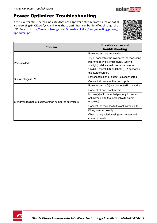

# Power Optimizer Troubleshooting

If the inverter status screen indicates that not all power optimizers are paired or not all are reporting (P\_OK xxx/yyy, and x<y), those optimizers can be identified through the LCD. Refer to [https://www.solaredge.com/sites/default/files/non\\_reporting\\_power\\_](https://www.solaredge.com/sites/default/files/non_reporting_power_optimizers.pdf) [optimizers.pdf](https://www.solaredge.com/sites/default/files/non_reporting_power_optimizers.pdf)



| <b>Problem</b>                                            | Possible cause and<br>troubleshooting                                                                                                                                                                        |
|-----------------------------------------------------------|--------------------------------------------------------------------------------------------------------------------------------------------------------------------------------------------------------------|
|                                                           | Power optimizers are shaded.                                                                                                                                                                                 |
| Pairing failed                                            | If you connected the inverter to the monitoring<br>platform, retry pairing remotely (during<br>sunlight). Make sure to leave the inverter<br>ON/OFF switch ON and that S OK appears in<br>the status screen. |
| String voltage is 0V                                      | Power optimizer (s) output is disconnected.                                                                                                                                                                  |
|                                                           | Connect all power optimizer outputs.                                                                                                                                                                         |
|                                                           | Power optimizer(s) not connected in the string.                                                                                                                                                              |
|                                                           | Connect all power optimizers                                                                                                                                                                                 |
| String voltage not 0V but lower than number of optimizers | Module(s) not connected properly to power<br>optimizer inputs (not applicable to smart<br>modules).                                                                                                          |
|                                                           | Connect the modules to the optimizer inputs                                                                                                                                                                  |
|                                                           | String reverse polarity.                                                                                                                                                                                     |
|                                                           | Check string polarity using a voltmeter and<br>correct if needed.                                                                                                                                            |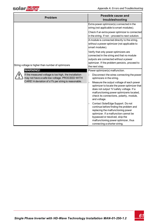

| <b>Problem</b>                                                                                                                 | Possible cause and<br>troubleshooting                                                                                                                                                                                                                                                |  |  |  |
|--------------------------------------------------------------------------------------------------------------------------------|--------------------------------------------------------------------------------------------------------------------------------------------------------------------------------------------------------------------------------------------------------------------------------------|--|--|--|
|                                                                                                                                | Extra power optimizer(s) connected in the<br>string (not applicable to smart modules).<br>Check if an extra power optimizer is connected<br>in the string. If not - proceed to next solution.                                                                                        |  |  |  |
|                                                                                                                                | A module is connected directly to the string,<br>without a power optimizer (not applicable to<br>smart modules).                                                                                                                                                                     |  |  |  |
| String voltage is higher than number of optimizers<br><b>WARNING!</b><br>If the measured voltage is too high, the installation | Verify that only power optimizers are<br>connected in the string and that no module<br>outputs are connected without a power<br>optimizer. If the problem persists, proceed to<br>the next step.                                                                                     |  |  |  |
|                                                                                                                                | Power optimizer(s) malfunction.<br>Disconnect the wires connecting the power<br>$\circ$                                                                                                                                                                                              |  |  |  |
| may not have a safe low voltage. PROCEED WITH<br>CARE! A deviation of ±1% per string is reasonable.                            | optimizers in the string.<br>Measure the output voltage of each power<br>$\circ$<br>optimizer to locate the power optimizer that<br>does not output 1V safety voltage. If a<br>malfunctioning power optimizeris located,<br>check its connections, polarity, module,<br>and voltage. |  |  |  |
|                                                                                                                                | Contact SolarEdge Support. Do not<br>$\circ$<br>continue before finding the problem and<br>replacing the malfunctioning power<br>optimizer. If a malfunction cannot be<br>bypassed or resolved, skip the<br>malfunctioning power optimizer, thus<br>connecting a shorter string.     |  |  |  |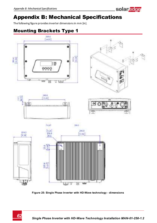# Appendix B: Mechanical Specifications

The following figure provides inverter dimensions in mm [in].

# Mounting Brackets Type 1



**Figure 25: Single Phase Inverter with HD-Wave technology - dimensions**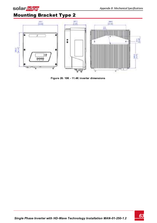

# Mounting Bracket Type 2



**Figure 26: 10K - 11.4K inverter dimensions**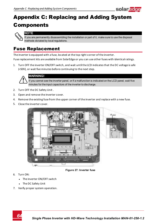

# Appendix C: Replacing and Adding System Components



#### **NOTE**

If you are permanently disassembling the installation or part of it, make sure to use the disposal methods dictated by local regulations.

## Fuse Replacement

The inverter is equipped with a fuse, located at the top right corner of the inverter.

Fuse replacement kits are available from SolarEdge or you can use other fuses with identical ratings.

1. Turn OFF the inverter ON/OFF switch, and wait until the LCD indicates that the DC voltage is safe (<50V), or wait five minutes before continuing to the next step.



#### WARNING!

If you cannot see the inverter panel, or if a malfunction is indicated on the LCD panel, wait five minutes for the input capacitors of the inverter to discharge.

- 2. Turn OFF the DC Safety Unit .
- 3. Open and remove the inverter cover.
- 4. Remove the existing fuse from the upper corner of the inverter and replace with a new fuse.
- 5. Close the inverter cover.





**Figure 27: Inverter fuse**

- 6. Turn ON:
	- The inverter ON/OFF switch
	- The DC Safety Unit
- 7. Verify proper system operation.

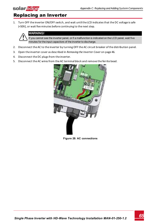# Replacing an Inverter

1. Turn OFF the inverter ON/OFF switch, and wait until the LCD indicates that the DC voltage is safe (<50V), or wait five minutes before continuing to the next step.



solar<sub>edge</sub>

#### WARNING!

ivou cannot see the inverter panel, or if a malfunction is indicated on the LCD panel, wait five minutes for the input capacitors of the inverter to discharge.

- 2. Disconnect the AC to the inverter by turning OFF the AC circuit breaker of the distribution panel.
- 3. Open the inverter cover as described in *[Removing the Inverter Cover](#page-46-0)* [on page 46](#page-46-0).
- 4. Disconnect the DC plugs from the inverter.
- 5. Disconnect the AC wires from the AC terminal block and remove the ferrite bead.



**Figure 28: AC connections**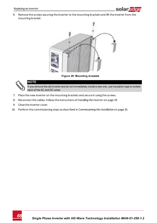

6. Remove the screws securing the inverter to the mounting brackets and lift the inverter from the mounting bracket.



**Figure 29: Mounting brackets**



#### **NOTE**

If you remove the old inverter and do not immediately install a new one, use insulation tape to isolate each of the AC and DC wires

- 7. Place the new inverter on the mounting brackets and secure it using the screws.
- 8. Reconnect the cables: Follow the instructions of *[Installing the Inverter](#page-19-0)* [on page 19.](#page-19-0)
- 9. Close the inverter cover.
- 10. Perform the commissioning steps as described in *[Commissioning the Installation](#page-25-0)* [on page 25](#page-25-0).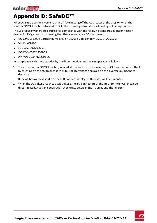# Appendix D: SafeDC™

When AC supply to the inverter is shut off (by shutting off the AC breaker at the site), or when the inverter ON/OFF switch is turned to OFF, the DC voltage drops to a safe voltage of per optimizer.

The SolarEdge inverters are certified for compliance with the following standards as disconnection devices for PV generators, meaning that they can replace a DC disconnect:

- $\bullet$  IEC 60947-3:1999 + Corrigendum: 1999 + A1:2001 + Corrigendum 1:2001 + A2:2005;
- $\bullet$  DIN EN 60947-3
- <sup>l</sup> VDE 0660-107:2006-03
- $\cdot$  IFC 60364-7-712:2002-05
- DIN VDE 0100-712:2006-06.

In compliance with these standards, the disconnection mechanism operates as follows:

1. Turn the inverter ON/OFF switch, located at the bottom of the inverter, to OFF, or disconnect the AC by shutting off the AC breaker at the site. The DC voltage displayed on the inverter LCD begins to decrease.

If the AC breaker was shut off, the LCD does not display. In this case, wait five minutes.

2. When the DC voltage reaches a safe voltage, the PV connectors at the input to the inverter can be disconnected. A galvanic separation then exists between the PV array and the inverter.

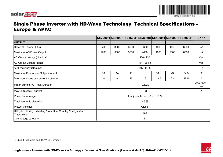

## Single Phase Inverter with HD-Wave Technology Technical Specifications - Europe & APAC

|                                                                              |      |               |      |                                       |                 | SE2200H SE3000H SE3500H SE3680H SE4000H SE5000H SE6000H |      | <b>Units</b> |
|------------------------------------------------------------------------------|------|---------------|------|---------------------------------------|-----------------|---------------------------------------------------------|------|--------------|
| <b>OUTPUT</b>                                                                |      |               |      |                                       |                 |                                                         |      |              |
| Rated AC Power Output                                                        | 2200 | 3000          | 3500 | 3680                                  | 4000            | 50001                                                   | 6000 | VA           |
| Maximum AC Power Output                                                      | 2200 | 3000          | 3500 | 4000                                  | 4000            | 5000                                                    | 6000 | VA           |
| AC Output Voltage (Nominal)                                                  |      |               |      | 220/230                               |                 |                                                         |      | Vac          |
| <b>AC Output Voltage Range</b>                                               |      |               |      | 184 - 264.5                           |                 |                                                         |      | Vac          |
| AC Frequency (Nominal)                                                       |      | $50/60 \pm 5$ |      |                                       |                 |                                                         |      | Hz           |
| Maximum Continuous Output Current                                            | 10   | 14            | 16   | 16                                    | 18.5            | 23                                                      | 27.5 | A            |
| Max. continuous overcurrent protection                                       | 10   | 14            | 16   | 16                                    | 18.5            | 23                                                      | 27.5 | Α            |
| Inrush current AC (Peak/Duration)                                            |      | 2.8/20        |      |                                       | Aac(rms)/<br>ms |                                                         |      |              |
| Max. output fault current                                                    |      |               |      | 38                                    |                 |                                                         |      | A            |
| Power factor range                                                           |      |               |      | 1 (adjustable from $-0.9$ to $+0.9$ ) |                 |                                                         |      |              |
| Total harmonic distortion                                                    |      |               |      | $< 3 \%$                              |                 |                                                         |      |              |
| Protective class                                                             |      | Class I       |      |                                       |                 |                                                         |      |              |
| Utility Monitoring, Islanding Protection, Country Configurable<br>Thresholds |      | Yes           |      |                                       |                 |                                                         |      |              |
| Overvoltage category                                                         |      |               |      | Ш                                     |                 |                                                         |      |              |

1SE5000H is limited to 4600VA in Germany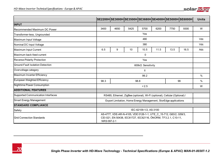|                                     |             | SE2200H SE3000H SE3500H SE3680H SE4000H SE5000H SE6000H                                                                             |      |                        |      |      |      | Units |
|-------------------------------------|-------------|-------------------------------------------------------------------------------------------------------------------------------------|------|------------------------|------|------|------|-------|
| <b>INPUT</b>                        |             |                                                                                                                                     |      |                        |      |      |      |       |
| Recommended Maximum DC Power        | 3400        | 4650                                                                                                                                | 5425 | 5700                   | 6200 | 7750 | 9300 | W     |
| Transformer-less, Ungrounded        |             |                                                                                                                                     |      | Yes                    |      |      |      |       |
| Maximum Input Voltage               |             |                                                                                                                                     |      | 480                    |      |      |      | Vdc   |
| Nominal DC Input Voltage            |             |                                                                                                                                     |      | 380                    |      |      |      | Vdc   |
| Maximum Input Current               | 6.5         | 9                                                                                                                                   | 10   | 10.5                   | 11.5 | 13.5 | 16.5 | Adc   |
| Maximum back-feed current           |             |                                                                                                                                     |      | 0                      |      |      |      |       |
| Reverse-Polarity Protection         |             |                                                                                                                                     |      | Yes                    |      |      |      |       |
| Ground-Fault Isolation Detection    |             |                                                                                                                                     |      | 600kΩ Sensitivity      |      |      |      |       |
| Overvoltage category                |             |                                                                                                                                     |      | Ш                      |      |      |      |       |
| Maximum Inverter Efficiency         |             |                                                                                                                                     |      | 99.2                   |      |      |      | $\%$  |
| <b>European Weighted Efficiency</b> | 98.3        |                                                                                                                                     |      | 98.8                   |      |      | 99   | %     |
| <b>Nighttime Power Consumption</b>  |             |                                                                                                                                     |      | < 2.5                  |      |      |      | W     |
| <b>ADDITIONAL FEATURES</b>          |             |                                                                                                                                     |      |                        |      |      |      |       |
| Supported Communication Interfaces  |             | RS485, Ethernet, ZigBee (optional), Wi-Fi (optional), Cellular (Optional) /                                                         |      |                        |      |      |      |       |
| Smart Energy Management             |             | Export Limitation, Home Energy Management, StorEdge applications                                                                    |      |                        |      |      |      |       |
| <b>STANDARD COMPLIANCE</b>          |             |                                                                                                                                     |      |                        |      |      |      |       |
| Safety                              |             |                                                                                                                                     |      | IEC-62109-1/2, AS-3100 |      |      |      |       |
| <b>IGrid Connection Standards</b>   | NRS 097-2-1 | AS-4777, VDE-AR-N-4105, VDE 0126-1-1, UTE_C_15-712, G83/2, G59/3,<br>CEI-021, EN 50438, IEC61727, IEC62116, ÖNORM, TF3.2.1, C10-11, |      |                        |      |      |      |       |



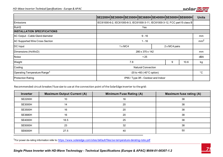

|                                          | $ SE2200H SE3000H SE3500H SE3680H SE4000H SE5000H SE6000H $                  |               |   |                 | <b>Units</b> |
|------------------------------------------|------------------------------------------------------------------------------|---------------|---|-----------------|--------------|
| Emissions                                | IEC61000-6-2, IEC61000-6-3, IEC61000-3-11, IEC61000-3-12, FCC part15 class B |               |   |                 |              |
| <b>RoHS</b>                              | Yes                                                                          |               |   |                 |              |
| <b>INSTALLATION SPECIFICATIONS</b>       |                                                                              |               |   |                 |              |
| AC Output - Cable Gland diameter         | $9 - 16$                                                                     |               |   | mm              |              |
| AC Supported Wire Cross Section          | $1 - 16$                                                                     |               |   | mm <sup>2</sup> |              |
| DC Input                                 | $1 \times MC4$                                                               | 2 x MC4 pairs |   |                 |              |
| Dimensions (HxWxD)                       | 280 x 370 x 142                                                              |               |   |                 | mm           |
| Noise                                    | < 25                                                                         |               |   |                 | dBA          |
| Weight                                   | 7.8                                                                          |               | 9 | 10.6            | kg           |
| Cooling                                  | <b>Natural Convection</b>                                                    |               |   |                 |              |
| Operating Temperature Range <sup>1</sup> | -20 to +60 (-40 $^{\circ}$ C option)                                         |               |   |                 | $^{\circ}C$  |
| <b>Protection Rating</b>                 | IP65 / Type 3R - Outdoor and Indoor                                          |               |   |                 |              |

Recommended circuit breaker/ fuse size to use at the connection point of the SolarEdge inverter to the grid:

| Inverter       | <b>Maximum Output Current (A)</b> | Minimum Fuse Rating (A) | Maximum fuse rating (A) |
|----------------|-----------------------------------|-------------------------|-------------------------|
| <b>SE2200H</b> | 10                                | 16                      | 38                      |
| <b>SE3000H</b> | 14                                | 20                      | 38                      |
| <b>SE3500H</b> | 16                                | 20                      | 38                      |
| <b>SE3680H</b> | 16                                | 20                      | 38                      |
| <b>SE4000H</b> | 18.5                              | 25                      | 38                      |
| <b>SE5000H</b> | 23                                | 32                      | 38                      |
| <b>SE6000H</b> | 27.5                              | 40                      | 50                      |

1For power de-rating information refer to: <https://www.solaredge.com/sites/default/files/se-temperature-derating-note.pdf>